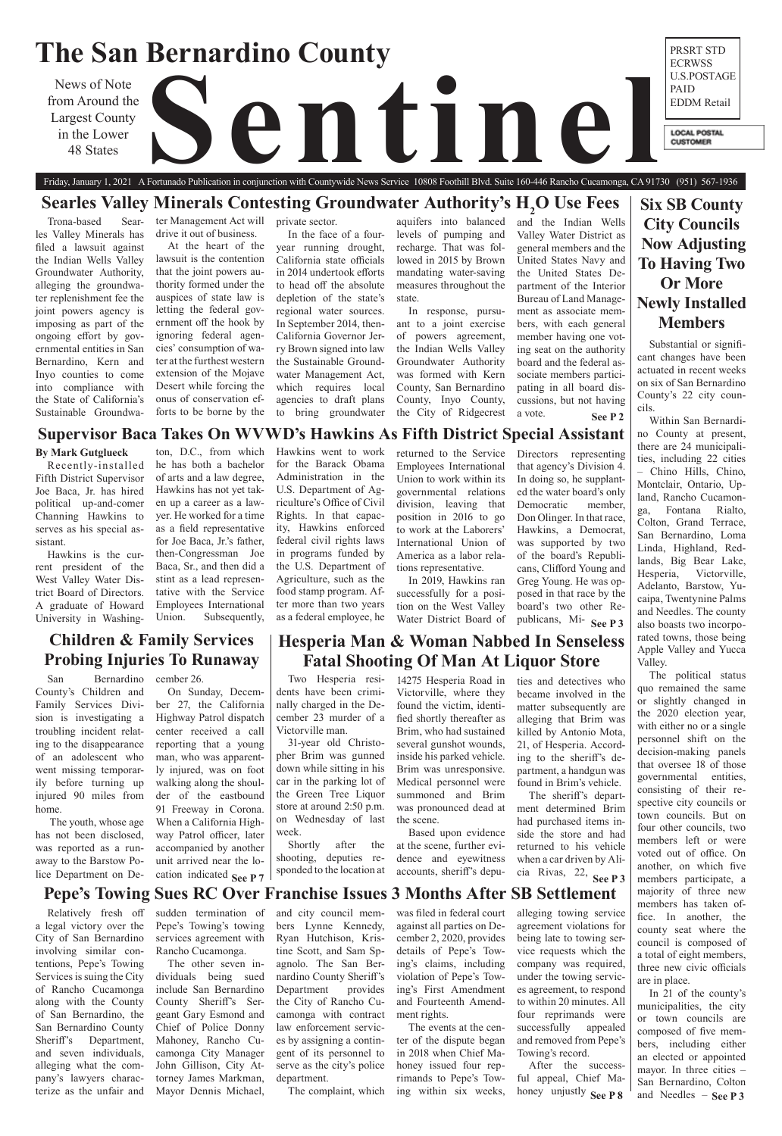## **The San Bernardino County**

**Sentinel** News of Note from Around the Largest County in the Lower 48 States

### Friday, January 1, 2021 A Fortunado Publication in conjunction with Countywide News Service 10808 Foothill Blvd. Suite 160-446 Rancho Cucamonga, CA 91730 (951) 567-1936

### **Searles Valley Minerals Contesting Groundwater Authority's**  $\textbf{H}_{2}\textbf{O}$  **Use Fees**

**Six SB County City Councils Now Adjusting To Having Two Or More Newly Installed Members**

### **Children & Family Services Probing Injuries To Runaway**

### **Hesperia Man & Woman Nabbed In Senseless Fatal Shooting Of Man At Liquor Store**

### **Pepe's Towing Sues RC Over Franchise Issues 3 Months After SB Settlement**

PRSRT STD ECRWSS U.S.POSTAGE PAID EDDM Retail

**LOCAL POSTAL CUSTOMER** 

Trona-based Searles Valley Minerals has filed a lawsuit against the Indian Wells Valley Groundwater Authority, alleging the groundwater replenishment fee the joint powers agency is imposing as part of the ongoing effort by governmental entities in San Bernardino, Kern and Inyo counties to come into compliance with the State of California's Sustainable Groundwater Management Act will drive it out of business.

At the heart of the lawsuit is the contention that the joint powers authority formed under the auspices of state law is letting the federal government off the hook by ignoring federal agencies' consumption of water at the furthest western extension of the Mojave Desert while forcing the onus of conservation efforts to be borne by the

**See P 2** and the Indian Wells Valley Water District as general members and the United States Navy and the United States Department of the Interior Bureau of Land Management as associate members, with each general member having one voting seat on the authority board and the federal associate members participating in all board discussions, but not having a vote.

private sector.

In the face of a fouryear running drought, California state officials in 2014 undertook efforts to head off the absolute depletion of the state's regional water sources. In September 2014, then-California Governor Jerry Brown signed into law the Sustainable Groundwater Management Act, which requires local agencies to draft plans to bring groundwater

### **Supervisor Baca Takes On WVWD's Hawkins As Fifth District Special Assistant**  Hawkins went to work

aquifers into balanced levels of pumping and recharge. That was followed in 2015 by Brown mandating water-saving measures throughout the state.

In response, pursuant to a joint exercise of powers agreement, the Indian Wells Valley Groundwater Authority was formed with Kern County, San Bernardino County, Inyo County, the City of Ridgecrest

> **See P 3** publicans, Mied the water board's only Democratic member, Don Olinger. In that race, Hawkins, a Democrat, was supported by two of the board's Republicans, Clifford Young and Greg Young. He was opposed in that race by the board's two other Re-

**See P 7** sponded to the location at accounts, sheriff's depu- cia Rivas, 22, **See P 3** shooting, deputies responded to the location at

### **By Mark Gutglueck**

Recently-installed Fifth District Supervisor Joe Baca, Jr. has hired political up-and-comer Channing Hawkins to serves as his special assistant.

Hawkins is the current president of the West Valley Water District Board of Directors. A graduate of Howard University in Washing-

ton, D.C., from which he has both a bachelor of arts and a law degree, Hawkins has not yet taken up a career as a lawyer. He worked for a time as a field representative for Joe Baca, Jr.'s father, then-Congressman Joe Baca, Sr., and then did a stint as a lead representative with the Service Employees International

# Union. Subsequently,

for the Barack Obama Administration in the U.S. Department of Agriculture's Office of Civil Rights. In that capacity, Hawkins enforced federal civil rights laws in programs funded by the U.S. Department of Agriculture, such as the food stamp program. After more than two years as a federal employee, he

> honey unjustly **See P8** alleging towing service agreement violations for being late to towing service requests which the company was required, under the towing services agreement, to respond to within 20 minutes. All four reprimands were successfully appealed and removed from Pepe's Towing's record. After the successful appeal, Chief Ma-

returned to the Service Employees International Union to work within its governmental relations division, leaving that position in 2016 to go to work at the Laborers' International Union of America as a labor rela-

tions representative. In 2019, Hawkins ran successfully for a position on the West Valley Water District Board of

Directors representing that agency's Division 4. In doing so, he supplant-

> and Needles – See P 3 The political status quo remained the same or slightly changed in the 2020 election year, with either no or a single personnel shift on the decision-making panels that oversee 18 of those governmental entities, consisting of their respective city councils or town councils. But on four other councils, two members left or were voted out of office. On another, on which five members participate, a majority of three new members has taken office. In another, the county seat where the council is composed of a total of eight members, three new civic officials are in place. In 21 of the county's municipalities, the city or town councils are composed of five members, including either an elected or appointed mayor. In three cities – San Bernardino, Colton

Two Hesperia residents have been criminally charged in the December 23 murder of a

On Sunday, December 27, the California Highway Patrol dispatch center received a call reporting that a young man, who was apparently injured, was on foot walking along the shoulder of the eastbound 91 Freeway in Corona. When a California Highway Patrol officer, later accompanied by another unit arrived near the location indicated  $\frac{1}{2}$ 

Victorville man.

31-year old Christopher Brim was gunned down while sitting in his car in the parking lot of the Green Tree Liquor store at around 2:50 p.m. on Wednesday of last

week. Shortly after the 14275 Hesperia Road in

Victorville, where they found the victim, identified shortly thereafter as Brim, who had sustained several gunshot wounds, inside his parked vehicle. Brim was unresponsive. Medical personnel were summoned and Brim was pronounced dead at the scene.

Based upon evidence at the scene, further evidence and eyewitness accounts, sheriff's depu-

ties and detectives who became involved in the matter subsequently are alleging that Brim was killed by Antonio Mota, 21, of Hesperia. According to the sheriff's department, a handgun was found in Brim's vehicle.

The sheriff's depart-

ment determined Brim had purchased items inside the store and had returned to his vehicle when a car driven by Ali-

Relatively fresh off a legal victory over the City of San Bernardino involving similar contentions, Pepe's Towing Services is suing the City of Rancho Cucamonga along with the County of San Bernardino, the San Bernardino County Sheriff's Department, and seven individuals, alleging what the company's lawyers characterize as the unfair and sudden termination of Pepe's Towing's towing services agreement with Rancho Cucamonga.

The other seven individuals being sued include San Bernardino County Sheriff's Sergeant Gary Esmond and Chief of Police Donny Mahoney, Rancho Cucamonga City Manager John Gillison, City Attorney James Markman, Mayor Dennis Michael,

and city council members Lynne Kennedy, Ryan Hutchison, Kristine Scott, and Sam Spagnolo. The San Bernardino County Sheriff's Department provides the City of Rancho Cucamonga with contract law enforcement services by assigning a contingent of its personnel to serve as the city's police department. The complaint, which

was filed in federal court against all parties on December 2, 2020, provides details of Pepe's Towing's claims, including violation of Pepe's Towing's First Amendment and Fourteenth Amendment rights.

The events at the center of the dispute began in 2018 when Chief Mahoney issued four reprimands to Pepe's Towing within six weeks,

Substantial or significant changes have been actuated in recent weeks on six of San Bernardino County's 22 city councils.

Within San Bernardino County at present, there are 24 municipalities, including 22 cities – Chino Hills, Chino, Montclair, Ontario, Upland, Rancho Cucamonga, Fontana Rialto, Colton, Grand Terrace, San Bernardino, Loma Linda, Highland, Redlands, Big Bear Lake, Hesperia, Victorville, Adelanto, Barstow, Yucaipa, Twentynine Palms and Needles. The county also boasts two incorporated towns, those being Apple Valley and Yucca Valley.

San Bernardino cember 26. County's Children and Family Services Division is investigating a troubling incident relating to the disappearance of an adolescent who went missing temporarily before turning up injured 90 miles from home.

 The youth, whose age has not been disclosed, was reported as a runaway to the Barstow Police Department on De-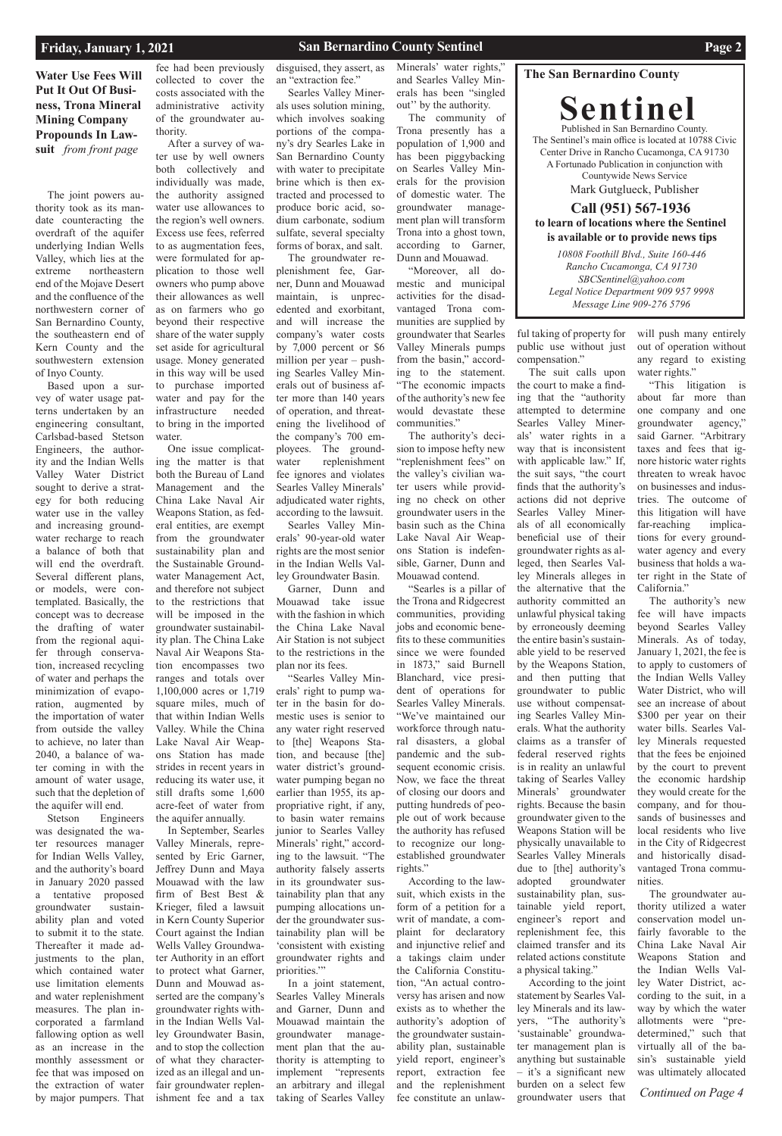### **The San Bernardino County**

**Sentinel** Published in San Bernardino County. The Sentinel's main office is located at 10788 Civic Center Drive in Rancho Cucamonga, CA 91730 A Fortunado Publication in conjunction with Countywide News Service Mark Gutglueck, Publisher

### **Call (951) 567-1936 to learn of locations where the Sentinel is available or to provide news tips**

### **Water Use Fees Will Put It Out Of Business, Trona Mineral Mining Company Propounds In Lawsuit** *from front page*

*Continued on Page 4*

*10808 Foothill Blvd., Suite 160-446 Rancho Cucamonga, CA 91730 SBCSentinel@yahoo.com Legal Notice Department 909 957 9998 Message Line 909-276 5796*

The joint powers authority took as its mandate counteracting the overdraft of the aquifer underlying Indian Wells Valley, which lies at the extreme northeastern end of the Mojave Desert and the confluence of the northwestern corner of San Bernardino County, the southeastern end of Kern County and the southwestern extension of Inyo County.

Based upon a survey of water usage patterns undertaken by an engineering consultant, Carlsbad-based Stetson Engineers, the authority and the Indian Wells Valley Water District sought to derive a strategy for both reducing water use in the valley and increasing groundwater recharge to reach a balance of both that will end the overdraft. Several different plans, or models, were contemplated. Basically, the concept was to decrease the drafting of water from the regional aquifer through conservation, increased recycling of water and perhaps the minimization of evaporation, augmented by the importation of water from outside the valley to achieve, no later than 2040, a balance of water coming in with the amount of water usage, such that the depletion of the aquifer will end.

Stetson Engineers was designated the water resources manager for Indian Wells Valley, and the authority's board in January 2020 passed

a tentative proposed groundwater sustainability plan and voted to submit it to the state. Thereafter it made adjustments to the plan, which contained water use limitation elements and water replenishment measures. The plan incorporated a farmland fallowing option as well as an increase in the monthly assessment or fee that was imposed on the extraction of water by major pumpers. That

fee had been previously collected to cover the costs associated with the administrative activity of the groundwater authority.

After a survey of water use by well owners both collectively and individually was made, the authority assigned water use allowances to the region's well owners. Excess use fees, referred to as augmentation fees, were formulated for application to those well owners who pump above their allowances as well as on farmers who go beyond their respective share of the water supply set aside for agricultural usage. Money generated in this way will be used to purchase imported water and pay for the infrastructure needed to bring in the imported water.

> tainability plan that any pumping allocations under the groundwater sustainability plan will be 'consistent with existing groundwater rights and priorities."

One issue complicating the matter is that both the Bureau of Land Management and the China Lake Naval Air Weapons Station, as federal entities, are exempt from the groundwater sustainability plan and the Sustainable Groundwater Management Act, and therefore not subject to the restrictions that will be imposed in the groundwater sustainability plan. The China Lake Naval Air Weapons Station encompasses two ranges and totals over 1,100,000 acres or 1,719 square miles, much of that within Indian Wells Valley. While the China Lake Naval Air Weapons Station has made strides in recent years in reducing its water use, it still drafts some 1,600 acre-feet of water from the aquifer annually.

In September, Searles Valley Minerals, represented by Eric Garner, Jeffrey Dunn and Maya Mouawad with the law firm of Best Best & Krieger, filed a lawsuit in Kern County Superior Court against the Indian Wells Valley Groundwater Authority in an effort to protect what Garner, Dunn and Mouwad asserted are the company's groundwater rights within the Indian Wells Valley Groundwater Basin, and to stop the collection of what they characterized as an illegal and unfair groundwater replenishment fee and a tax

disguised, they assert, as an "extraction fee."

Searles Valley Minerals uses solution mining, which involves soaking portions of the company's dry Searles Lake in San Bernardino County with water to precipitate brine which is then extracted and processed to produce boric acid, sodium carbonate, sodium sulfate, several specialty forms of borax, and salt.

> will push many entirely out of operation without any regard to existing water rights."

The groundwater replenishment fee, Garner, Dunn and Mouawad maintain, is unprecedented and exorbitant, and will increase the company's water costs by 7,000 percent or \$6 million per year – pushing Searles Valley Minerals out of business after more than 140 years of operation, and threatening the livelihood of the company's 700 employees. The groundwater replenishment fee ignores and violates Searles Valley Minerals' adjudicated water rights, according to the lawsuit.

Searles Valley Minerals' 90-year-old water rights are the most senior in the Indian Wells Valley Groundwater Basin.

Garner, Dunn and Mouawad take issue with the fashion in which the China Lake Naval Air Station is not subject to the restrictions in the plan nor its fees.

"Searles Valley Minerals' right to pump water in the basin for domestic uses is senior to any water right reserved to [the] Weapons Station, and because [the] water district's groundwater pumping began no earlier than 1955, its appropriative right, if any, to basin water remains junior to Searles Valley Minerals' right," according to the lawsuit. "The authority falsely asserts in its groundwater sus-

In a joint statement, Searles Valley Minerals and Garner, Dunn and Mouawad maintain the groundwater management plan that the authority is attempting to implement "represents an arbitrary and illegal taking of Searles Valley

Minerals' water rights," and Searles Valley Minerals has been "singled out'' by the authority.

The community of Trona presently has a population of 1,900 and has been piggybacking on Searles Valley Minerals for the provision of domestic water. The groundwater management plan will transform Trona into a ghost town, according to Garner, Dunn and Mouawad.

"Moreover, all domestic and municipal activities for the disadvantaged Trona communities are supplied by groundwater that Searles Valley Minerals pumps from the basin," according to the statement. "The economic impacts of the authority's new fee would devastate these communities."

The authority's decision to impose hefty new "replenishment fees" on the valley's civilian water users while providing no check on other groundwater users in the basin such as the China Lake Naval Air Weapons Station is indefensible, Garner, Dunn and Mouawad contend.

"Searles is a pillar of the Trona and Ridgecrest communities, providing jobs and economic benefits to these communities since we were founded in 1873," said Burnell Blanchard, vice president of operations for Searles Valley Minerals. "We've maintained our workforce through natural disasters, a global pandemic and the subsequent economic crisis. Now, we face the threat of closing our doors and putting hundreds of people out of work because the authority has refused to recognize our longestablished groundwater rights."

According to the law-

suit, which exists in the form of a petition for a writ of mandate, a complaint for declaratory and injunctive relief and a takings claim under the California Constitution, "An actual controversy has arisen and now exists as to whether the authority's adoption of the groundwater sustainability plan, sustainable yield report, engineer's report, extraction fee and the replenishment fee constitute an unlawful taking of property for public use without just compensation."

The suit calls upon the court to make a finding that the "authority attempted to determine Searles Valley Minerals' water rights in a way that is inconsistent with applicable law." If, the suit says, "the court finds that the authority's actions did not deprive Searles Valley Minerals of all economically beneficial use of their groundwater rights as alleged, then Searles Valley Minerals alleges in the alternative that the authority committed an unlawful physical taking by erroneously deeming the entire basin's sustainable yield to be reserved by the Weapons Station, and then putting that groundwater to public use without compensating Searles Valley Minerals. What the authority claims as a transfer of federal reserved rights is in reality an unlawful taking of Searles Valley Minerals' groundwater rights. Because the basin groundwater given to the Weapons Station will be physically unavailable to Searles Valley Minerals due to [the] authority's adopted groundwater sustainability plan, sustainable yield report, engineer's report and replenishment fee, this claimed transfer and its related actions constitute a physical taking." According to the joint statement by Searles Valley Minerals and its lawyers, "The authority's 'sustainable' groundwater management plan is anything but sustainable – it's a significant new burden on a select few groundwater users that

"This litigation is about far more than one company and one groundwater agency," said Garner. "Arbitrary taxes and fees that ignore historic water rights threaten to wreak havoc on businesses and industries. The outcome of this litigation will have far-reaching implications for every groundwater agency and every business that holds a water right in the State of California."

The authority's new fee will have impacts beyond Searles Valley Minerals. As of today, January 1, 2021, the fee is to apply to customers of the Indian Wells Valley Water District, who will see an increase of about \$300 per year on their water bills. Searles Valley Minerals requested that the fees be enjoined by the court to prevent the economic hardship they would create for the company, and for thousands of businesses and local residents who live in the City of Ridgecrest and historically disadvantaged Trona communities. The groundwater authority utilized a water conservation model unfairly favorable to the China Lake Naval Air Weapons Station and the Indian Wells Valley Water District, according to the suit, in a way by which the water allotments were "predetermined," such that virtually all of the basin's sustainable yield was ultimately allocated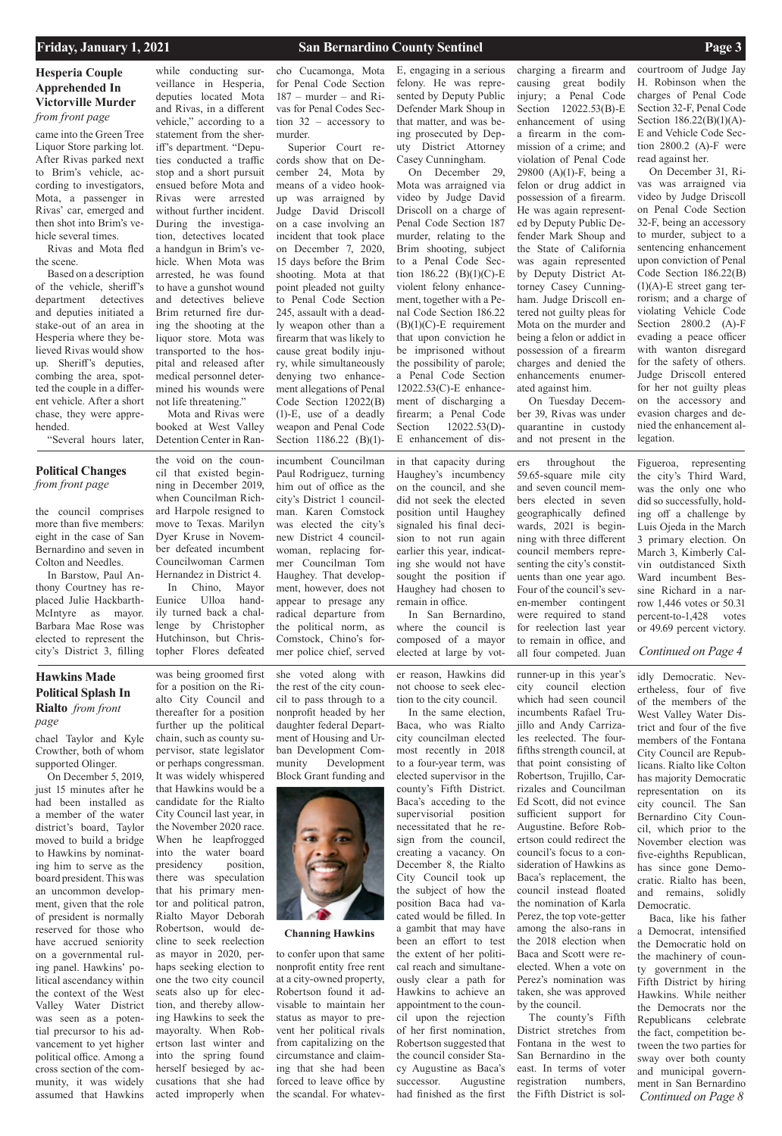### **Friday, January 1, 2021 San Bernardino County Sentinel Page 3**

### **Political Changes**  *from front page*

### *Continued on Page 4*

### **Channing Hawkins**

### **Hesperia Couple Apprehended In Victorville Murder**

*from front page*

chael Taylor and Kyle Crowther, both of whom supported Olinger.

On December 5, 2019, just 15 minutes after he had been installed as a member of the water district's board, Taylor moved to build a bridge to Hawkins by nominating him to serve as the board president. This was an uncommon development, given that the role of president is normally reserved for those who have accrued seniority on a governmental ruling panel. Hawkins' political ascendancy within the context of the West Valley Water District was seen as a potential precursor to his advancement to yet higher political office. Among a cross section of the community, it was widely assumed that Hawkins

was being groomed first for a position on the Rialto City Council and thereafter for a position further up the political chain, such as county supervisor, state legislator or perhaps congressman. It was widely whispered that Hawkins would be a candidate for the Rialto City Council last year, in the November 2020 race. When he leapfrogged into the water board presidency position, there was speculation that his primary mentor and political patron, Rialto Mayor Deborah Robertson, would decline to seek reelection as mayor in 2020, perhaps seeking election to one the two city council seats also up for election, and thereby allowing Hawkins to seek the mayoralty. When Robertson last winter and into the spring found herself besieged by accusations that she had acted improperly when

she voted along with the rest of the city council to pass through to a nonprofit headed by her daughter federal Department of Housing and Urban Development Community Development Block Grant funding and



er reason, Hawkins did not choose to seek election to the city council.

*Continued on Page 8* idly Democratic. Nevertheless, four of five of the members of the West Valley Water District and four of the five members of the Fontana City Council are Republicans. Rialto like Colton has majority Democratic representation on its city council. The San Bernardino City Council, which prior to the November election was five-eighths Republican, has since gone Democratic. Rialto has been, and remains, solidly Democratic. Baca, like his father a Democrat, intensified the Democratic hold on the machinery of county government in the Fifth District by hiring Hawkins. While neither the Democrats nor the Republicans celebrate the fact, competition between the two parties for sway over both county and municipal government in San Bernardino

In the same election, Baca, who was Rialto city councilman elected most recently in 2018 to a four-year term, was elected supervisor in the county's Fifth District. Baca's acceding to the supervisorial position necessitated that he resign from the council, creating a vacancy. On December 8, the Rialto City Council took up the subject of how the position Baca had vacated would be filled. In a gambit that may have been an effort to test the extent of her political reach and simultaneously clear a path for Hawkins to achieve an appointment to the council upon the rejection of her first nomination, Robertson suggested that the council consider Stacy Augustine as Baca's successor. Augustine had finished as the first the Fifth District is sol-

runner-up in this year's city council election which had seen council incumbents Rafael Trujillo and Andy Carrizales reelected. The fourfifths strength council, at that point consisting of Robertson, Trujillo, Carrizales and Councilman Ed Scott, did not evince sufficient support for Augustine. Before Robertson could redirect the council's focus to a consideration of Hawkins as Baca's replacement, the council instead floated the nomination of Karla Perez, the top vote-getter among the also-rans in the 2018 election when Baca and Scott were reelected. When a vote on Perez's nomination was taken, she was approved by the council. The county's Fifth District stretches from Fontana in the west to San Bernardino in the east. In terms of voter registration numbers,

came into the Green Tree Liquor Store parking lot. After Rivas parked next to Brim's vehicle, according to investigators, Mota, a passenger in Rivas' car, emerged and then shot into Brim's vehicle several times.

Rivas and Mota fled the scene.

Based on a description of the vehicle, sheriff's department detectives and deputies initiated a stake-out of an area in Hesperia where they believed Rivas would show up. Sheriff's deputies, combing the area, spotted the couple in a different vehicle. After a short chase, they were apprehended.

"Several hours later,

while conducting surveillance in Hesperia, deputies located Mota and Rivas, in a different vehicle," according to a statement from the sheriff's department. "Deputies conducted a traffic stop and a short pursuit ensued before Mota and Rivas were arrested without further incident. During the investigation, detectives located a handgun in Brim's vehicle. When Mota was arrested, he was found to have a gunshot wound and detectives believe Brim returned fire during the shooting at the liquor store. Mota was transported to the hospital and released after medical personnel determined his wounds were

not life threatening." Mota and Rivas were booked at West Valley Detention Center in Rancho Cucamonga, Mota for Penal Code Section 187 – murder – and Rivas for Penal Codes Section 32 – accessory to murder.

Superior Court records show that on December 24, Mota by means of a video hookup was arraigned by Judge David Driscoll on a case involving an incident that took place on December 7, 2020, 15 days before the Brim shooting. Mota at that point pleaded not guilty to Penal Code Section 245, assault with a deadly weapon other than a firearm that was likely to cause great bodily injury, while simultaneously denying two enhancement allegations of Penal Code Section 12022(B) (1)-E, use of a deadly weapon and Penal Code Section 1186.22 (B)(1)-

E, engaging in a serious felony. He was represented by Deputy Public Defender Mark Shoup in that matter, and was being prosecuted by Deputy District Attorney Casey Cunningham.

### video by Judge David Driscoll on a charge of Penal Code Section 187 murder, relating to the Brim shooting, subject to a Penal Code Section  $186.22$  (B)(1)(C)-E violent felony enhancement, together with a Penal Code Section 186.22  $(B)(1)(C)$ -E requirement that upon conviction he be imprisoned without

On December 29, Mota was arraigned via the possibility of parole; a Penal Code Section 12022.53(C)-E enhancement of discharging a firearm; a Penal Code Section 12022.53(D)- E enhancement of discharging a firearm and causing great bodily injury; a Penal Code Section 12022.53(B)-E enhancement of using a firearm in the commission of a crime; and violation of Penal Code 29800 (A)(1)-F, being a felon or drug addict in possession of a firearm. He was again represented by Deputy Public Defender Mark Shoup and the State of California was again represented by Deputy District Attorney Casey Cunningham. Judge Driscoll entered not guilty pleas for Mota on the murder and being a felon or addict in possession of a firearm charges and denied the enhancements enumerated against him.

On Tuesday December 39, Rivas was under quarantine in custody and not present in the courtroom of Judge Jay H. Robinson when the charges of Penal Code Section 32-F, Penal Code Section 186.22(B)(1)(A)- E and Vehicle Code Section 2800.2 (A)-F were read against her.

On December 31, Rivas was arraigned via video by Judge Driscoll on Penal Code Section 32-F, being an accessory to murder, subject to a sentencing enhancement upon conviction of Penal Code Section 186.22(B) (1)(A)-E street gang terrorism; and a charge of violating Vehicle Code Section 2800.2 (A)-F evading a peace officer with wanton disregard for the safety of others. Judge Driscoll entered for her not guilty pleas on the accessory and evasion charges and denied the enhancement allegation.

the council comprises more than five members: eight in the case of San Bernardino and seven in Colton and Needles.

In Barstow, Paul Anthony Courtney has replaced Julie Hackbarth-McIntyre as mayor. Barbara Mae Rose was elected to represent the city's District 3, filling

the void on the council that existed beginning in December 2019, when Councilman Richard Harpole resigned to move to Texas. Marilyn Dyer Kruse in November defeated incumbent Councilwoman Carmen Hernandez in District 4. In Chino, Mayor Eunice Ulloa handily turned back a challenge by Christopher Hutchinson, but Christopher Flores defeated

incumbent Councilman Paul Rodriguez, turning him out of office as the city's District 1 councilman. Karen Comstock was elected the city's new District 4 councilwoman, replacing former Councilman Tom Haughey. That development, however, does not appear to presage any radical departure from the political norm, as Comstock, Chino's former police chief, served

in that capacity during Haughey's incumbency on the council, and she did not seek the elected position until Haughey signaled his final decision to not run again earlier this year, indicating she would not have sought the position if Haughey had chosen to remain in office.

In San Bernardino, where the council is composed of a mayor elected at large by voters throughout the 59.65-square mile city and seven council members elected in seven geographically defined wards, 2021 is beginning with three different council members representing the city's constituents than one year ago. Four of the council's seven-member contingent were required to stand for reelection last year to remain in office, and all four competed. Juan Figueroa, representing the city's Third Ward, was the only one who did so successfully, holding off a challenge by Luis Ojeda in the March 3 primary election. On March 3, Kimberly Calvin outdistanced Sixth Ward incumbent Bessine Richard in a narrow 1,446 votes or 50.31 percent-to-1,428 votes or 49.69 percent victory.

### **Hawkins Made Political Splash In Rialto** *from front page*

to confer upon that same nonprofit entity free rent at a city-owned property, Robertson found it advisable to maintain her status as mayor to prevent her political rivals from capitalizing on the circumstance and claiming that she had been forced to leave office by the scandal. For whatev-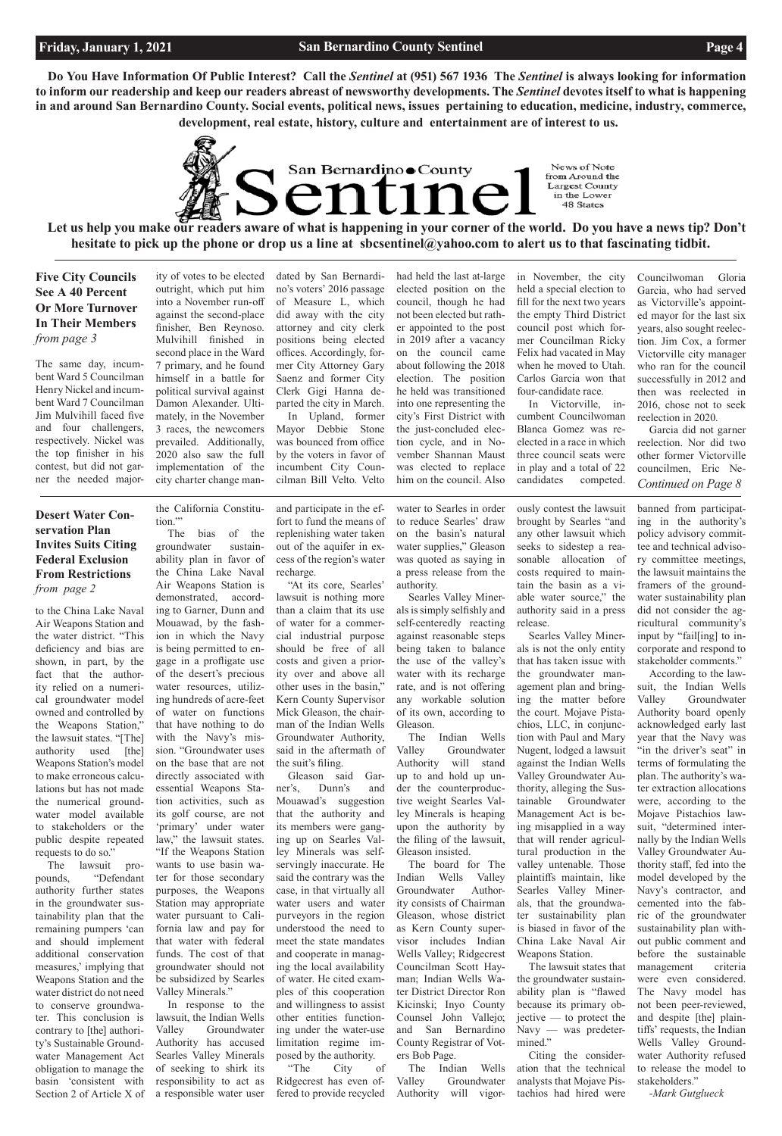### **Five City Councils See A 40 Percent Or More Turnover In Their Members**  *from page 3*

**Do You Have Information Of Public Interest? Call the** *Sentinel* **at (951) 567 1936 The** *Sentinel* **is always looking for information to inform our readership and keep our readers abreast of newsworthy developments. The** *Sentinel* **devotes itself to what is happening in and around San Bernardino County. Social events, political news, issues pertaining to education, medicine, industry, commerce,**

 **development, real estate, history, culture and entertainment are of interest to us.**



**hesitate to pick up the phone or drop us a line at sbcsentinel@yahoo.com to alert us to that fascinating tidbit.**

### **Desert Water Conservation Plan Invites Suits Citing Federal Exclusion From Restrictions**  *from page 2*

to the China Lake Naval Air Weapons Station and the water district. "This deficiency and bias are shown, in part, by the fact that the authority relied on a numerical groundwater model owned and controlled by the Weapons Station," the lawsuit states. "[The] authority used [the] Weapons Station's model to make erroneous calculations but has not made the numerical groundwater model available to stakeholders or the public despite repeated requests to do so."

The lawsuit propounds, "Defendant

authority further states in the groundwater sustainability plan that the remaining pumpers 'can and should implement additional conservation measures,' implying that Weapons Station and the water district do not need to conserve groundwater. This conclusion is contrary to [the] authority's Sustainable Groundwater Management Act obligation to manage the basin 'consistent with Section 2 of Article X of the California Constitu-The bias of the

> Gleason said Garner's, Dunn's and Dunn's and Mouawad's suggestion that the authority and its members were ganging up on Searles Valley Minerals was selfservingly inaccurate. He said the contrary was the case, in that virtually all water users and water purveyors in the region understood the need to meet the state mandates and cooperate in managing the local availability of water. He cited examples of this cooperation and willingness to assist other entities functioning under the water-use limitation regime imposed by the authority. "The City of Ridgecrest has even offered to provide recycled

groundwater sustainability plan in favor of the China Lake Naval Air Weapons Station is demonstrated, according to Garner, Dunn and Mouawad, by the fashion in which the Navy is being permitted to engage in a profligate use of the desert's precious water resources, utilizing hundreds of acre-feet of water on functions that have nothing to do with the Navy's mission. "Groundwater uses on the base that are not directly associated with essential Weapons Station activities, such as its golf course, are not 'primary' under water law," the lawsuit states. "If the Weapons Station wants to use basin water for those secondary purposes, the Weapons Station may appropriate water pursuant to California law and pay for that water with federal funds. The cost of that groundwater should not be subsidized by Searles Valley Minerals." In response to the lawsuit, the Indian Wells Valley Groundwater Authority has accused Searles Valley Minerals of seeking to shirk its responsibility to act as a responsible water user

and participate in the effort to fund the means of replenishing water taken out of the aquifer in excess of the region's water recharge.

"At its core, Searles' lawsuit is nothing more than a claim that its use of water for a commercial industrial purpose should be free of all costs and given a priority over and above all other uses in the basin," Kern County Supervisor Mick Gleason, the chairman of the Indian Wells Groundwater Authority, said in the aftermath of the suit's filing.

water to Searles in order

to reduce Searles' draw on the basin's natural water supplies," Gleason was quoted as saying in a press release from the authority. Searles Valley Minerals is simply selfishly and self-centeredly reacting

against reasonable steps being taken to balance the use of the valley's water with its recharge rate, and is not offering any workable solution of its own, according to Gleason.

The Indian Wells Valley Groundwater Authority will stand up to and hold up under the counterproductive weight Searles Valley Minerals is heaping upon the authority by the filing of the lawsuit, Gleason insisted.

The board for The Indian Wells Valley Groundwater Authority consists of Chairman Gleason, whose district as Kern County supervisor includes Indian Wells Valley; Ridgecrest Councilman Scott Hayman; Indian Wells Water District Director Ron Kicinski; Inyo County Counsel John Vallejo; and San Bernardino County Registrar of Voters Bob Page. The Indian Wells Valley Groundwater Authority will vigor-

*Continued on Page 8* Garcia did not garner reelection. Nor did two other former Victorville councilmen, Eric Ne-

ously contest the lawsuit brought by Searles "and any other lawsuit which seeks to sidestep a reasonable allocation of costs required to maintain the basin as a viable water source," the authority said in a press release.

because its primary objective — to protect the Navy — was predeter-

mined."

Citing the consideration that the technical analysts that Mojave Pis-

Searles Valley Minerals is not the only entity that has taken issue with the groundwater management plan and bringing the matter before the court. Mojave Pistachios, LLC, in conjunction with Paul and Mary Nugent, lodged a lawsuit against the Indian Wells Valley Groundwater Authority, alleging the Sustainable Groundwater Management Act is being misapplied in a way that will render agricultural production in the valley untenable. Those plaintiffs maintain, like Searles Valley Minerals, that the groundwater sustainability plan is biased in favor of the China Lake Naval Air Weapons Station. The lawsuit states that the groundwater sustainability plan is "flawed cemented into the fabric of the groundwater

banned from participating in the authority's policy advisory committee and technical advisory committee meetings, the lawsuit maintains the framers of the groundwater sustainability plan did not consider the agricultural community's input by "fail[ing] to incorporate and respond to stakeholder comments."

According to the lawsuit, the Indian Wells Valley Groundwater Authority board openly acknowledged early last year that the Navy was "in the driver's seat" in terms of formulating the plan. The authority's water extraction allocations were, according to the Mojave Pistachios lawsuit, "determined internally by the Indian Wells Valley Groundwater Authority staff, fed into the model developed by the Navy's contractor, and

tachios had hired were sustainability plan without public comment and before the sustainable management criteria were even considered. The Navy model has not been peer-reviewed, and despite [the] plaintiffs' requests, the Indian Wells Valley Groundwater Authority refused to release the model to stakeholders." *-Mark Gutglueck*

The same day, incumbent Ward 5 Councilman Henry Nickel and incumbent Ward 7 Councilman Jim Mulvihill faced five and four challengers, respectively. Nickel was the top finisher in his contest, but did not garner the needed major-

ity of votes to be elected outright, which put him into a November run-off against the second-place finisher, Ben Reynoso. Mulvihill finished in second place in the Ward 7 primary, and he found himself in a battle for political survival against Damon Alexander. Ultimately, in the November 3 races, the newcomers prevailed. Additionally, 2020 also saw the full implementation of the city charter change man-

tion."

dated by San Bernardino's voters' 2016 passage of Measure L, which did away with the city attorney and city clerk positions being elected offices. Accordingly, former City Attorney Gary Saenz and former City Clerk Gigi Hanna departed the city in March. In Upland, former Mayor Debbie Stone was bounced from office by the voters in favor of incumbent City Councilman Bill Velto. Velto

had held the last at-large

elected position on the council, though he had not been elected but rather appointed to the post in 2019 after a vacancy on the council came about following the 2018 election. The position he held was transitioned into one representing the city's First District with the just-concluded election cycle, and in November Shannan Maust was elected to replace him on the council. Also

in November, the city held a special election to fill for the next two years the empty Third District council post which former Councilman Ricky Felix had vacated in May when he moved to Utah. Carlos Garcia won that four-candidate race.

In Victorville, incumbent Councilwoman Blanca Gomez was reelected in a race in which three council seats were in play and a total of 22 candidates competed.

Councilwoman Gloria Garcia, who had served as Victorville's appointed mayor for the last six years, also sought reelection. Jim Cox, a former Victorville city manager who ran for the council successfully in 2012 and then was reelected in 2016, chose not to seek reelection in 2020.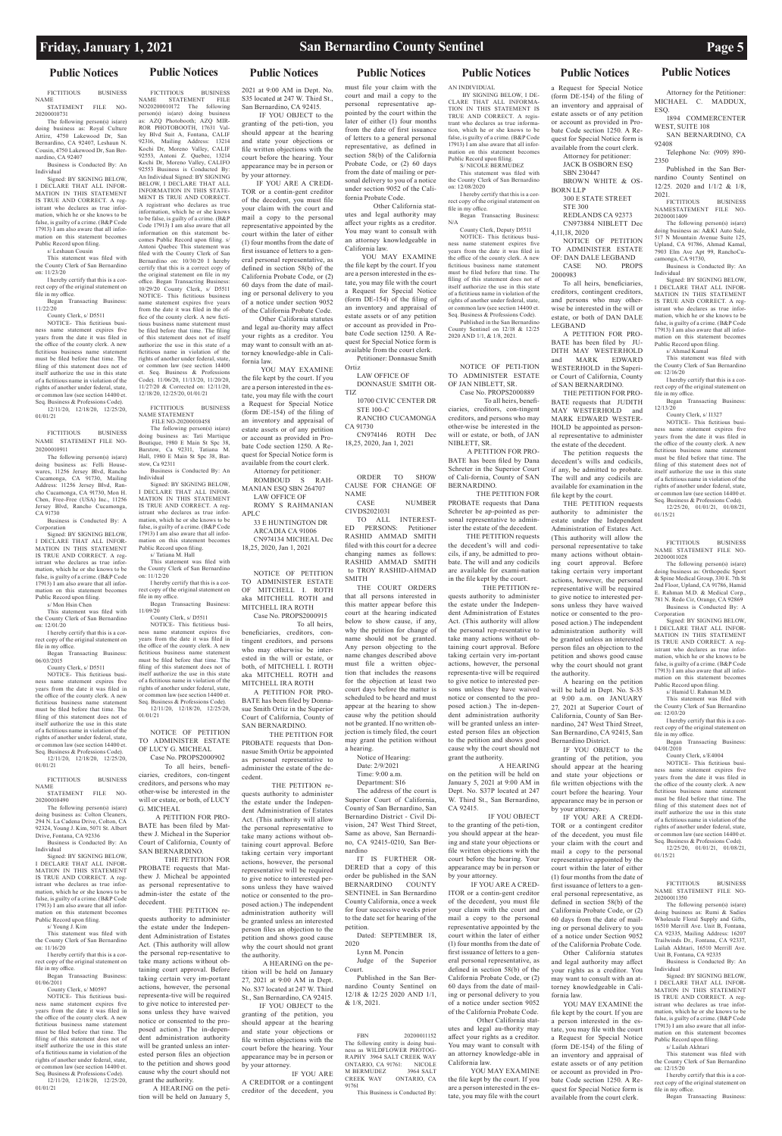### **Friday, January 1, 2021 San Bernardino County Sentinel Page 5**

### **Public Notices Public Notices Public Notices Public Notices Public Notices Public Notices Public Notices**

FICTITIOUS BUSINESS NAME STATEMENT FILE NO-20200010731

The following person(s) is(are) doing business as: Royal Culture Attire, 4750 Lakewood Dr, San Bernardino, CA 92407, Leshaun N. Cousin, 4750 Lakewood Dr, San Bernardino, CA 92407

Signed: BY SIGNING BELOW, I DECLARE THAT ALL INFOR-MATION IN THIS STATEMENT IS TRUE AND CORRECT. A registrant who declares as true information, which he or she knows to be false, is guilty of a crime. (B&P Code 17913) I am also aware that all information on this statement becomes Public Record upon filing.

Business is Conducted By: An Individual

This statement was filed with the County Clerk of San Bernardino on: 11/23/20

s/ Leshaun Cousin

I hereby certify that this is a correct copy of the original statement on file in my office.

Began Transacting Business: 11/22/20

County Clerk, s/ D5511

NOTICE- This fictitious business name statement expires five years from the date it was filed in the office of the county clerk. A new fictitious business name statement must be filed before that time. The filing of this statement does not of itself authorize the use in this state of a fictitious name in violation of the rights of another under federal, state, or common law (see section 14400 et. Seq. Business & Professions Code). 12/11/20, 12/18/20, 12/25/20, 01/01/21

NOTICE- This fictitious business name statement expires five years from the date it was filed in the office of the county clerk. A new fictitious business name statement must be filed before that time. The filing of this statement does not of itself authorize the use in this state of a fictitious name in violation of the rights of another under federal, state, or common law (see section 14400 et. Seq. Business & Professions Code). 12/11/20, 12/18/20, 12/25/20,

FICTITIOUS BUSINESS NAME STATEMENT FILE NO-

FICTITIOUS BUSINESS NAME STATEMENT FILE NO-20200010911

The following person(s) is(are) doing business as: Felli House-wares, 11256 Jersey Blvd, Rancho Cucamonga, CA 91730, Mailing Address: 11256 Jersey Blvd, Rancho Cucamonga, CA 91730, Mon H. Chen, Free-Free (USA) Inc., 11256 Jersey Blvd, Rancho Cucamonga, CA 91730

This statement was filed with the County Clerk of San Bernardino on:  $11/16/20$ 

Business is Conducted By: A Corporation

Signed: BY SIGNING BELOW, I DECLARE THAT ALL INFOR-MATION IN THIS STATEMENT IS TRUE AND CORRECT. A registrant who declares as true information, which he or she knows to be false, is guilty of a crime. (B&P Code 17913) I am also aware that all information on this statement becomes Public Record upon filing.

s/ Mon Hsin Chen

This statement was filed with the County Clerk of San Bernardino on: 12/01/20

I hereby certify that this is a correct copy of the original statement on file in my office.

Began Transacting Business: 06/03/2015

County Clerk, s/ D5511

01/01/21

20200010490 The following person(s) is(are) doing business as: Colton Cleaners, 294 N. La Cadena Drive, Colton, CA

Signed: BY SIGNING BELOW I DECLARE THAT ALL INFOR-MATION IN THIS STATEMENT

92324, Young J. Kim, 5071 St. Albert Drive, Fontana, CA 92336 Business is Conducted By: An

Individual Signed: BY SIGNING BELOW, I DECLARE THAT ALL INFOR-MATION IN THIS STATEMENT IS TRUE AND CORRECT. A reg-

istrant who declares as true infor-mation, which he or she knows to be false, is guilty of a crime. (B&P Code 17913) I am also aware that all information on this statement becomes Public Record upon filing.

s/ Young J. Kim

I hereby certify that this is a correct copy of the original statement on file in my office.

Began Transacting Business: 01/06/2011

County Clerk, s/ M0597

NOTICE- This fictitious business name statement expires five years from the date it was filed in the office of the county clerk. A new fictitious business name statement must be filed before that time. The filing of this statement does not of itself authorize the use in this state of a fictitious name in violation of the rights of another under federal, state, or common law (see section 14400 et.

Seq. Business & Professions Code). 12/11/20, 12/18/20, 12/25/20, 01/01/21

IS TRUE AND CORRECT. A registrant who declares as true information, which he or she knows to be false, is guilty of a crime. (B&P Code 17913) I am also aware that all information on this statement becomes ROMY S RAHMANIAN APLC 33 E HUNTINGTON DR ARCADIA CA 91006 CN974134 MICHEAL Dec 18,25, 2020, Jan 1, 2021

FICTITIOUS BUSINESS NAME STATEMENT FILE NO20200010172 The following person(s) is(are) doing business as: AZQ Photobooth; AZQ MIR-ROR PHOTOBOOTH, 17631 Valley Blvd Suit A, Fontana, CALIF 92316, Mailing Address: 13214 Kochi Dr, Moreno Valley, CALIF 92553, Antoni Z. Quebec, 13214 Kochi Dr, Moreno Valley, CALIFO 92553 Business is Conducted By An Individual Signed: BY SIGNING BELOW, I DECLARE THAT ALL INFORMATION IN THIS STATE-MENT IS TRUE AND CORRECT. A registrant who declares as true information, which he or she knows to be false, is guilty of a crime. (B&P Code 17913) I am also aware that all information on this statement be-comes Public Record upon filing. s/ Antoni Quebec This statement was filed with the County Clerk of San Bernardino on: 10/30/20 I hereby certify that this is a correct copy of the original statement on file in my office. Began Transacting Business: 10/29/20 County Clerk, s/ D5511 NOTICE- This fictitious business name statement expires five years from the date it was filed in the of-fice of the county clerk. A new fictitious business name statement must be filed before that time. The filing of this statement does not of itself authorize the use in this state of a fictitious name in violation of the rights of another under federal, state, or common law (see section 14400 et. Seq. Business & Professions Code). 11/06/20, 11/13/20, 11/20/20, 11/27/20 & Corrected on: 12/11/20, 12/18/20, 12/25/20, 01/01/21 FICTITIOUS BUSINESS

NAME STATEMENT FILE NO-20200010458 The following person(s) is(are) doing business as: Tati Martique Boutique, 1980 E Main St Spc 38, Barstow, Ca 92311, Tatiana M. Hall, 1980 E Main St Spc 38, Bar-

stow, Ca 92311

Business is Conducted By: An

Individual

Public Record upon filing. s/ Tatiana M. Hall

 $\rm{NUMBER}$ CIVDS2021031 TO ALL INTEREST-ED PERSONS: Petitioner

on: 11/12/20

11/09/20

County Clerk, s/ D5511

THE COURT ORDERS that all persons interested in this matter appear before this court at the hearing indicated below to show cause, if any, why the petition for change of name should not be granted. Any person objecting to the name changes described above must file a written objection that includes the reasons for the objection at least two court days before the matter is scheduled to be heard and must appear at the hearing to show cause why the petition should not be granted. If no written objection is timely filed, the court may grant the petition without a hearing.

ness name statement expires five years from the date it was filed in the office of the county clerk. A new fictitious business name statement must be filed before that time. The filing of this statement does not of itself authorize the use in this state of a fictitious name in violation of the rights of another under federal, state, common law (see section 14400 et. Seq. Business & Professions Code). 12/11/20, 12/18/20, 12/25/20,

01/01/21

NOTICE OF PETITION TO ADMINISTER ESTATE OF LUCY G. MICHEAL Case No. PROPS2000902 To all heirs, beneficiaries, creditors, con-tingent creditors, and persons who may other-wise be interested in the will or estate, or both, of LUCY

G. MICHEAL

file in my office.

 A PETITION FOR PRO-BATE has been filed by Matthew J. Micheal in the Superior Court of California, County of SAN BERNARDINO.

 THE PETITION FOR PROBATE requests that Matthew J. Micheal be appointed

as personal representative to admin-ister the estate of the decedent.

 THE PETITION requests authority to administer the estate under the Independent Administration of Estates Act. (This authority will allow the personal rep-resentative to take many actions without ob-

taining court approval. Before taking certain very im-portant actions, however, the personal representa-tive will be required to give notice to interested persons unless they have waived notice or consented to the pro-

posed action.) The in-dependent administration authority will be granted unless an interested person files an objection to the petition and shows good cause why the court should not

This statement was filed with the County Clerk of San Bernardino I hereby certify that this is a correct copy of the original statement on NOTICE OF PETITION TO ADMINISTER ESTATE OF MITCHELL I. ROTH

Began Transacting Business: NOTICE- This fictitious busiaka MITCHELL ROTH and MITCHELL IRA ROTH Case No. PROPS2000915

grant the authority. A HEARING on the petition will be held on January 5,

2021 at 9:00 AM in Dept. No. S35 located at 247 W. Third St., San Bernardino, CA 92415. IF YOU OBJECT to the granting of the peti-tion, you should appear at the hearing

and state your objections or file written objections with the court before the hearing. Your appearance may be in person or by your attorney.

 IF YOU ARE A CREDI-TOR or a contin-gent creditor of the decedent, you must file your claim with the court and mail a copy to the personal representative appointed by the court within the later of either (1) four months from the date of first issuance of letters to a general personal representative, as defined in section 58(b) of the California Probate Code, or (2) 60 days from the date of mailing or personal delivery to you of a notice under section 9052 of the California Probate Code. Other California statutes

and legal au-thority may affect your rights as a creditor. You may want to consult with an attorney knowledge-able in California law. YOU MAY EXAMINE the file kept by the court. If you

NOTICE OF PETITION TO ADMINISTER ESTATE OF: DAN DALE LEGBAND<br>CASE NO. PROP

are a person interested in the estate, you may file with the court a Request for Special Notice (form DE-154) of the filing of an inventory and appraisal of estate assets or of any petition or account as provided in Probate Code section 1250. A Re-

quest for Special Notice form is available from the court clerk.

> Attorney for petitioner: ROMBOUD S RAH-

MANIAN ESQ SBN 264707 LAW OFFICE OF

 To all heirs, beneficiaries, creditors, contingent creditors, and persons who may otherwise be interested in the will or estate, or both, of MITCHELL I. ROTH aka MITCHELL ROTH and MITCHELL IRA ROTH

A PETITION FOR PRO-BATE has been filed by Donnasue Smith Ortiz in the Superior Court of California, County of SAN BERNARDINO. THE PETITION FOR

PROBATE requests that Donnasue Smith Ortiz be appointed as personal representative to administer the estate of the de-

cedent. THE PETITION requests authority to administer the estate under the Independent Administration of Estates Act. (This authority will allow the personal representative to take many actions without obtaining court approval. Before taking certain very important actions, however, the personal representative will be required

to give notice to interested per-

2021.<br>FICTITIOUS FICTITIOUS BUSINESS NAMESTATEMENT FILE NO-20200011409

sons unless they have waived notice or consented to the proposed action.) The independent administration authority will be granted unless an interested person files an objection to the petition and shows good cause why the court should not grant the authority.

This statement was filed with the County Clerk of San Bernardino on: 12/16/20

 A HEARING on the petition will be held on January 27, 2021 at 9:00 AM in Dept. No. S37 located at 247 W. Third St., San Bernardino, CA 92415. IF YOU OBJECT to the

granting of the petition, you should appear at the hearing and state your objections or file written objections with the court before the hearing. Your appearance may be in person or by your attorney. IF YOU ARE A CREDITOR or a contingent

creditor of the decedent, you

must file your claim with the

court and mail a copy to the personal representative appointed by the court within the later of either (1) four months from the date of first issuance of letters to a general personal representative, as defined in section 58(b) of the California Probate Code, or (2) 60 days

> from the date of mailing or personal delivery to you of a notice under section 9052 of the California Probate Code. Other California statutes and legal authority may affect your rights as a creditor. You may want to consult with an attorney knowledgeable in California law.

 YOU MAY EXAMINE the file kept by the court. If you are a person interested in the estate, you may file with the court a Request for Special Notice (form DE-154) of the filing of an inventory and appraisal of estate assets or of any petition or account as provided in Probate Code section 1250. A Request for Special Notice form is available from the court clerk. Petitioner: Donnasue Smith

Ortiz

This statement was filed with the County Clerk of San Bernardino on: 12/15/20

LAW OFFICE OF DONNASUE SMITH OR-TIZ

10700 CIVIC CENTER DR STE 100-C RANCHO CUCAMONGA

CA 91730 CN974146 ROTH Dec

18,25, 2020, Jan 1, 2021

ORDER TO SHOW CAUSE FOR CHANGE OF NAME

RASHID AMMAD SMITH filed with this court for a decree changing names as follows: RASHID AMMAD SMITH to TROY RASHID-AHMAD SMITH

> Notice of Hearing: Date: 2/9/2021 Time: 9:00 a.m.

Department: S16

The address of the court is Superior Court of California, County of San Bernardino, San Bernardino District - Civil Division, 247 West Third Street, Same as above, San Bernardino, CA 92415-0210, San Bernardino

IT IS FURTHER OR-DERED that a copy of this order be published in the SAN BERNARDINO COUNTY

SENTINEL in San Bernardino County California, once a week for four successive weeks prior to the date set for hearing of the petition.

Dated: SEPTEMBER 18, 2020

Lynn M. Poncin

Judge of the Superior Court.

Published in the San Bernardino County Sentinel on 12/18 & 12/25 2020 AND 1/1, & 1/8, 2021.

FBN 20200011152 The following entity is doing business as WILDFLOWER PHOTOG-RAPHY 3964 SALT CREEK WAY<br>
ONTARIO CA 91761: NICOLE ONTARIO, CA 91761: NICOLE<br>M BERMUDEZ 3964 SALT M BERMUDEZ<br>CREEK WAY ONTARIO, CA 91761

This Business is Conducted By:

AN INDIVIDUAL BY SIGNING BELOW, I DE-CLARE THAT ALL INFORMA-TION IN THIS STATEMENT IS TRUE AND CORRECT. A registrant who declares as true informa-tion, which he or she knows to be false, is guilty of a crime. (B&P Code 17913) I am also aware that all information on this statement becomes Public Record upon filing. S/ NICOLE BERMUDEZ

This statement was filed with

the County Clerk of San Bernardino on: 12/08/2020

I hereby certify that this is a correct copy of the original statement on file in my office.

Began Transacting Business: N/A

County Clerk, Deputy D5511

NOTICE- This fictitious business name statement expires five years from the date it was filed in the office of the county clerk. A new fictitious business name statement must be filed before that time. The filing of this statement does not of itself authorize the use in this state of a fictitious name in violation of the rights of another under federal, state, or common law (see section 14400 et. Seq. Business & Professions Code). Published in the San Bernardin County Sentinel on 12/18 & 12/25

2020 AND 1/1, & 1/8, 2021.

NOTICE OF PETI-TION TO ADMINISTER ESTATE OF JAN NIBLETT, SR.

Case No. PROPS2000889 To all heirs, beneficiaries, creditors, con-tingent creditors, and persons who may other-wise be interested in the will or estate, or both, of JAN NIBLETT, SR.

 A PETITION FOR PRO-BATE has been filed by Dana Schreter in the Superior Court of Cali-fornia, County of SAN BERNARDINO.

 THE PETITION FOR PROBATE requests that Dana Schreter be ap-pointed as personal representative to administer the estate of the decedent.

 THE PETITION requests the decedent's will and codicils, if any, be admitted to probate. The will and any codicils are available for exami-nation in the file kept by the court.

 THE PETITION requests authority to administer the estate under the Independent Administration of Estates Act. (This authority will allow the personal rep-resentative to take many actions without obtaining court approval. Before taking certain very im-portant actions, however, the personal representa-tive will be required to give notice to interested persons unless they have waived notice or consented to the proposed action.) The in-dependent administration authority will be granted unless an interested person files an objection to the petition and shows good cause why the court should not grant the authority.

 A HEARING on the petition will be held on January 5, 2021 at 9:00 AM in Dept. No. S37P located at 247 W. Third St., San Bernardino, CA 92415.

 IF YOU OBJECT to the granting of the peti-tion, you should appear at the hearing and state your objections or file written objections with the court before the hearing. Your appearance may be in person or by your attorney.

IF YOU ARE A CRED

ITOR or a contin-gent creditor of the decedent, you must file your claim with the court and mail a copy to the personal representative appointed by the court within the later of either (1) four months from the date of first issuance of letters to a general personal representative, as defined in section 58(b) of the California Probate Code, or (2) 60 days from the date of mailing or personal delivery to you of a notice under section 9052 of the California Probate Code. Other California stat-

utes and legal au-thority may affect your rights as a creditor. You may want to consult with an attorney knowledge-able in California law.

 YOU MAY EXAMINE the file kept by the court. If you are a person interested in the estate, you may file with the court

a Request for Special Notice (form DE-154) of the filing of an inventory and appraisal of estate assets or of any petition or account as provided in Probate Code section 1250. A Request for Special Notice form is available from the court clerk. Attorney for petitioner: JACK B OSBORN ESQ SBN 230447

BROWN WHITE & OS-

BORN LLP

300 E STATE STREET

STE 300

REDLANDS CA 92373 CN973884 NIBLETT Dec

4,11,18, 2020

2000983

To all heirs, beneficiaries, creditors, contingent creditors, and persons who may otherwise be interested in the will or estate, or both of DAN DALE

LEGBAND

A PETITION FOR PRO-BATE has been filed by JU-DITH MAY WESTERHOLD and MARK EDWARD WESTERHOLD in the Superior Court of California, County of SAN BERNARDINO. THE PETITION FOR PRO-BATE requests that JUDITH MAY WESTERHOLD and MARK EDWARD WESTER-HOLD be appointed as personal representative to administer the estate of the decedent. The petition requests the decedent's wills and codicils, if any, be admitted to probate. The will and any codicils are available for examination in the file kept by the court.

THE PETITION requests authority to administer the estate under the Independent Administration of Estates Act. (This authority will allow the personal representative to take many actions without obtaining court approval. Before taking certain very important actions, however, the personal representative will be required to give notice to interested persons unless they have waived notice or consented to the proposed action.) The independent administration authority will be granted unless an interested person files an objection to the petition and shows good cause why the court should not grant

the authority.

A hearing on the petition will be held in Dept. No. S-35 at 9:00 a.m. on JANUARY 27, 2021 at Superior Court of California, County of San Bernardino, 247 West Third Street, San Bernardino, CA 92415, San Bernardino District.

IF YOU OBJECT to the granting of the petition, you should appear at the hearing and state your objections or file written objections with the court before the hearing. Your appearance may be in person or

by your attorney.

IF YOU ARE A CREDI-TOR or a contingent creditor of the decedent, you must file your claim with the court and mail a copy to the personal representative appointed by the court within the later of either (1) four months from the date of

**PROPS** 

may want to consult with an attorney knowledgeable in Cali-

fornia law.

YOU MAY EXAMINE the file kept by the court. If you are a person interested in the estate, you may file with the court a Request for Special Notice (form DE-154) of the filing of an inventory and appraisal of estate assets or of any petition or account as provided in Probate Code section 1250. A Request for Special Notice form is available from the court clerk.

Attorney for the Petitioner: MICHAEL C. MADDUX, ESQ.

1894 COMMERCENTER WEST, SUITE 108

SAN BERNARDINO, CA 92408

Telephone No: (909) 890- 2350

Published in the San Bernardino County Sentinel on 12/25. 2020 and 1/1/2 & 1/8,

The following person(s) is(are) doing business as: A&K1 Auto Sale, 517 N Mountain Avenue Suite 125, Upland, CA 91786, Ahmad Kamal, 7903 Elm Ave Apt 99, RanchoCucamonga, CA 91730,

Business is Conducted By: An Individual

Signed: BY SIGNING BELOW, I DECLARE THAT ALL INFOR-MATION IN THIS STATEMENT IS TRUE AND CORRECT. A registrant who declares as true information, which he or she knows to be false, is guilty of a crime. (B&P Code 17913) I am also aware that all information on this statement becomes Public Record upon filing.

s/ Ahmad Kamal

I hereby certify that this is a correct copy of the original statement on

file in my office. Began Transacting Business: 12/13/20

County Clerk, s/ I1327

first issuance of letters to a general personal representative, as defined in section 58(b) of the California Probate Code, or (2) 60 days from the date of mailing or personal delivery to you of a notice under Section 9052 of the California Probate Code. Other California statutes and legal authority may affect your rights as a creditor. You FICTITIOUS BUSINESS NAME STATEMENT FILE NO-20200011350

NOTICE- This fictitious busi-ness name statement expires five years from the date it was filed in the office of the county clerk. A new fictitious business name statement must be filed before that time. The filing of this statement does not of itself authorize the use in this state of a fictitious name in violation of the rights of another under federal, state, or common law (see section 14400 et. Seq. Business & Professions Code). 12/25/20, 01/01/21, 01/08/21,

01/15/21

FICTITIOUS BUSINESS NAME STATEMENT FILE NO-20200011028

The following person(s) is(are) doing business as: Orthopedic Sport & Spine Medical Group, 330 E. 7th St 2nd Floor, Upland, CA 91786, Hamid E. Rahman M.D. & Medical Corp., 781 N. Redo Cir, Orange, CA 92869 Business is Conducted By: A

Corporation Signed: BY SIGNING BELOW, I DECLARE THAT ALL INFOR-MATION IN THIS STATEMENT IS TRUE AND CORRECT. A registrant who declares as true information, which he or she knows to be false, is guilty of a crime. (B&P Code

17913) I am also aware that all infor-mation on this statement becomes Public Record upon filing. s/ Hamid U. Rahman M.D.

This statement was filed with the County Clerk of San Bernardino on: 12/03/20 I hereby certify that this is a correct copy of the original statement on

file in my office.

Began Transacting Business: 04/01/2010 County Clerk, s/E4004 NOTICE- This fictitious business name statement expires five years from the date it was filed in the office of the county clerk. A new fictitious business name statement must be filed before that time. The filing of this statement does not of itself authorize the use in this state of a fictitious name in violation of the rights of another under federal, state, or common law (see section 14400 et. Seq. Business & Professions Code). 12/25/20, 01/01/21, 01/08/21,

01/15/21

The following person(s) is(are) doing business as: Rumi & Sadies Wholesale Floral Supply and Gifts, 16510 Merrill Ave. Unit B, Fontana, CA 92335, Mailing Address: 16207 Trailwinds Dr., Fontana, CA 92337, Lailah Akhtari, 16510 Merrill Ave.

Unit B, Fontana, CA 92335 Business is Conducted By: An Individual

Signed: BY SIGNING BELOW, I DECLARE THAT ALL INFOR-MATION IN THIS STATEMENT IS TRUE AND CORRECT. A registrant who declares as true information, which he or she knows to be false, is guilty of a crime. (B&P Code 17913) I am also aware that all infor-mation on this statement becomes Public Record upon filing.

s/ Lailah Akhtari

I hereby certify that this is a correct copy of the original statement on file in my office.

Began Transacting Business: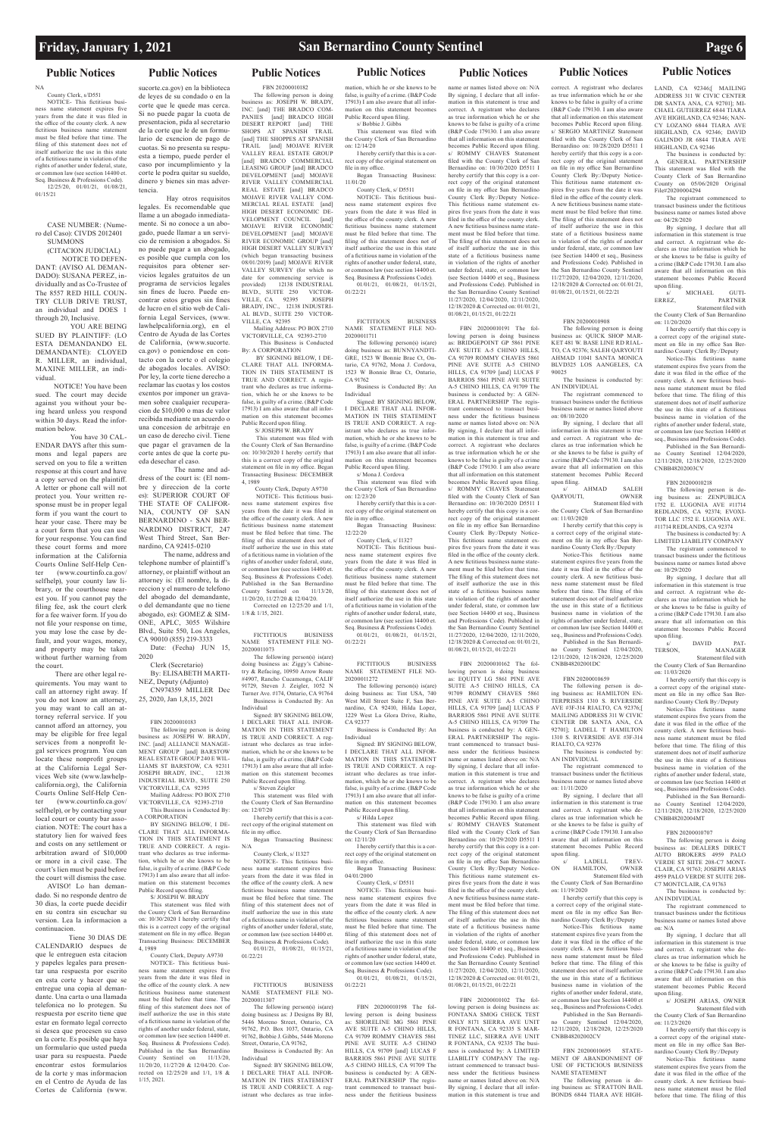### **Public Notices Public Notices Public Notices Public Notices Public Notices Public Notices Public Notices**

### NA

CASE NUMBER: (Numero del Caso): CIVDS 2012401 **SUMMONS** 

County Clerk, s/D551 NOTICE- This fictitious business name statement expires five years from the date it was filed in the office of the county clerk. A new fictitious business name statement must be filed before that time. The filing of this statement does not of itself authorize the use in this state of a fictitious name in violation of the rights of another under federal, state, or common law (see section 14400 et. Seq. Business & Professions Code). 12/25/20, 01/01/21, 01/08/21, 01/15/21

(CITACION JUDICIAL) NOTICE TO DEFEN-DANT: (AVISO AL DEMAN-DADO): SUSANA PEREZ, individually and as Co-Trustee of The 8557 RED HILL COUN-TRY CLUB DRIVE TRUST, an individual and DOES 1 through 20, Inclusive.

 YOU ARE BEING SUED BY PLAINTIFF: (LO ESTA DEMANDANDO EL DEMANDANTE): CLOYED R. MILLER, an individual, MAXINE MILLER, an individual.

 NOTICE! You have been sued. The court may decide against you without your being heard unless you respond within 30 days. Read the information below.

 $AVISO'$  Lo han de dado. Si no responde dentro de 30 dias, la corte puede decidir en su contra sin escuchar su version. Lea la informacion a continuacion.

 You have 30 CAL-ENDAR DAYS after this summons and legal papers are served on you to file a written response at this court and have a copy served on the plaintiff. A letter or phone call will not protect you. Your written response must be in proper legal form if you want the court to hear your case. There may be a court form that you can use for your response. You can find these court forms and more information at the California Courts Online Self-Help Center (www.courtinfo.ca.gov/ selfhelp), your county law library, or the courthouse nearest you. If you cannot pay the filing fee, ask the court clerk for a fee waiver form. If you do not file your response on time, you may lose the case by default, and your wages, money, and property may be taken without further warning from the court.

 There are other legal requirements. You may want to call an attorney right away. If you do not know an attorney, you may want to call an attorney referral service. If you cannot afford an attorney, you may be eligible for free legal services from a nonprofit legal services program. You can locate these nonprofit groups at the California Legal Services Web site (www.lawhelpcalifornia.org), the California Courts Online Self-Help Cen-(www.courtinfo.ca.gov/ selfhelp), or by contacting your local court or county bar association. NOTE: The court has a statutory lien for waived fees and costs on any settlement or arbitration award of \$10,000 or more in a civil case. The court's lien must be paid before the court will dismiss the case.

Mailing Address: PO BOX 2710 VICTORVILLE, CA 92393-2710 This Business is Conducted By:

mation on this statement becomes<br>public Peoped upon filing Public Record up S/ JOSEPH W. BRADY

This statement was filed with the County Clerk of San Bernardino on: 10/30/2020 I hereby certify that this is a correct copy of the original statement on file in my office. Began Transacting Business: DECEMBER 4, 1989 nty Clerk, Deputy A9730

 Tiene 30 DIAS DE CALENDARIO despues de que le entreguen esta citacion y papeles legales para presentar una respuesta por escrito en esta corte y hacer que se entregue una copia al demandante. Una carta o una llamada telefonica no lo protegen. Su respuesta por escrito tiene que estar en formato legal correcto si desea que procesen su caso en la corte. Es posible que haya un formulario que usted pueda usar para su respuesta. Puede encontrar estos formularios de la corte y mas informacion en el Centro de Ayuda de las Cortes de California (www.

sucorte.ca.gov) en la biblioteca de leyes de su condado o en la corte que le quede mas cerca. Si no puede pagar la cuota de presentacion, pida al secretario de la corte que le de un formulario de exencion de pago de cuotas. Si no presenta su respuesta a tiempo, puede perder el caso por incumplimiento y la corte le podra quitar su sueldo, dinero y bienes sin mas advertencia.

> Mailing Address: PO BOX 2710 VICTORVILLE, CA 92393-2710 This Business is Conducted

 Hay otros requisitos legales. Es recomendable que llame a un abogado inmediatamente. Si no conoce a un abogado, puede llamar a un servicio de remision a abogados. Si no puede pagar a un abogado, es posible que cumpla con los requisitos para obtener servicios legales gratuitos de un programa de servicios legales sin fines de lucro. Puede encontrar estos grupos sin fines de lucro en el sitio web de California Legal Services, (www. lawhelpcalifornia.org), en el Centro de Ayuda de las Cortes de California, (www.sucorte. ca.gov) o poniendose en contacto con la corte o el colegio de abogados locales. AVISO: Por ley, la corte tiene derecho a reclamar las cuotas y los costos exentos por imponer un gravamen sobre cualquier recuperacion de \$10,000 o mas de valor recibida mediante un acuerdo o una concesion de arbitraje en un caso de derecho civil. Tiene que pagar el gravamen de la

> FICTITIOUS BUSINESS STATEMENT FILE NO-

The following person(s) is(are) doing business as: Ziggy's Cabinetry & Refacing, 10950 Arrow Route #4907, Rancho Cucamonga, CALIF 91729, Steven J. Zeigler, 1052 N Turner Ave. #174, Ontario, CA 91764 Business is Conducted By: An

corte antes de que la corte pueda desechar el caso. The name and ad-

> Signed: BY SIGNING BELOW I DECLARE THAT ALL INFOR-MATION IN THIS STATEMENT IS TRUE AND CORRECT. A registrant who declares as true infor-mation, which he or she knows to be false, is guilty of a crime. (B&P Code 17913) I am also aware that all information on this statement becomes Public Record upon filing. s/ Steven Zeigler This statement was filed with the County Clerk of San Bernardino

dress of the court is: (El nombre y direccion de la corte es): SUPERIOR COURT OF THE STATE OF CALIFOR-NIA, COUNTY OF SAN BERNARDINO - SAN BER-NARDINO DISTRICT, 247 West Third Street, San Bernardino, CA 92415-0210 The name, address and

telephone number of plaintiff's attorney, or plaintiff without an attorney is: (El nombre, la direccion y el numero de telefono del abogado del demandante, o del demandante que no tiene abogado, es): GOMEZ & SIM-ONE, APLC, 3055 Wilshire Blvd., Suite 550, Los Angeles, CA 90010 (855) 219-3333 Date: (Fecha) JUN 15, 2020

> The following person(s) is(are) doing business as: J Designs By BJ, 5446 Moreno Street, Ontario, CA 91762, P.O. Box 1037, Ontario, CA 91762, Bobbie J. Gibbs, 5446 Moreno Street, Ontario, CA 91762

Clerk (Secretario) By: ELISABETH MARTI-NEZ, Deputy (Adjunto) CN974359 MILLER Dec

25, 2020, Jan 1,8,15, 2021

FBN 20200010183 The following person is doing business as: JOSEPH W. BRADY, INC. [and] ALLIANCE MANAGE-MENT GROUP [and] BARSTOW REAL ESTATE GROUP 240 E WIL-LIAMS ST BARSTOW, CA 92311 JOSEPH BRADY, INC., 12138 INDUSTRIAL BLVD., SUITE 250 VICTORVILLE, CA 92395

A CORPORATION BY SIGNING BELOW, I DE-CLARE THAT ALL INFORMA-TION IN THIS STATEMENT IS TRUE AND CORRECT. A registrant who declares as true information, which he or she knows to be false, is guilty of a crime. (B&P Code 17913) I am also aware that all infor-

 $12/22/20$ County Clerk, s/ I1327

NOTICE- This fictitious business name statement expires five years from the date it was filed in the office of the county clerk. A new fictitious business name statement must be filed before that time. The filing of this statement does not of itself authorize the use in this state of a fictitious name in violation of the rights of another under federal, state, or common law (see section 14400 et.  $01/01/21, \quad 01/08/21, \quad 01/15/21,$ 

NOTICE- This fictitious busi-

ness name statement expires five years from the date it was filed in the office of the county clerk. A new fictitious business name statement must be filed before that time. The filing of this statement does not of itself authorize the use in this state of a fictitious name in violation of the rights of another under federal, state, or common law (see section 14400 et. Seq. Business & Professions Code). Published in the San Bernardino County Sentinel on 11/13/20,

11/20/20, 11/27/20 & 12/04/20. Corrected on 12/25/20 and 1/1, 1/8 &

1/15, 2021.

FBN 20200010182

trant commenced to transact business under the fictitious business

The following person is doing business as: JOSEPH W. BRADY, INC. [and] THE BRADCO COM-PANIES [and] BRADCO HIGH DESERT REPORT [and] THE SHOPS AT SPANISH TRAIL [and] THE SHOPPES AT SPANISH TRAIL [and] MOJAVE RIVER VALLEY REAL ESTATE GROUP [and] BRADCO COMMERCIAL LEASING GROUP [and] BRADCO DEVELOPMENT [and] MOJAVE RIVER VALLEY COMMERCIAL REAL ESTATE [and] BRADCO MOJAVE RIVER VALLEY COM-MERCIAL REAL ESTATE [and] HIGH DESERT ECONOMIC DE-<br>VELOPMENT COUNCIL [and] VELOPMENT COUNCIL MOJAVE RIVER ECONOMIC DEVELOPMENT [and] MOJAVE RIVER ECONOMIC GROUP [and] HIGH DESERT VALLEY SURVEY (which began transacting business 08/01/2019) [and] MOJAVE RIVER VALLEY SURVEY (for which no date for commencing service is provided) 12138 INDUSTRIAL BLVD., SUITE 250 VICTOR-VILLE, CA 92395 JOSEPH BRADY, INC., 12138 INDUSTRI-AL BLVD., SUITE 250 VICTOR-

VILLE, CA 92395

By: A CORPORATION

 BY SIGNING BELOW, I DE-CLARE THAT ALL INFORMA-TION IN THIS STATEMENT IS TRUE AND CORRECT. A regis-

Public Record upon filing. S/ JOSEPH W. BRADY

17913) I am also aware that all information on this statement becomes This statement was filed with the County Clerk of San Bernardino on: 10/30/2020 I hereby certify that this is a correct copy of the original statement on file in my office. Began Transacting Business: DECEMBER

4, 1989

County Clerk, Deputy A9730

 NOTICE- This fictitious business name statement expires five

years from the date it was filed in the office of the county clerk. A new fictitious business name statement must be filed before that time. The filing of this statement does not of itself authorize the use in this state of a fictitious name in violation of the rights of another under federal, state, or common law (see section 14400 et. Seq. Business & Professions Code). Published in the San Bernardino<br>County Sentinel on 11/13/20, County Sentinel on 11/20/20, 11/27/20 & 12/04/20. Corrected on 12/25/20 and 1/1,

1/8 & 1/15, 2021.

20200011073

Individual

on: 12/07/20

I hereby certify that this is a correct copy of the original statement on

file in my office.

Began Transacting Business:

N/A

County Clerk, s/ I1327 NOTICE- This fictitious business name statement expires five years from the date it was filed in

trant who declares as true information, which he or she knows to be false, is guilty of a crime. (B&P Code Signed: BY SIGNING BELOW,

the office of the county clerk. A new fictitious business name statement must be filed before that time. The filing of this statement does not of itself authorize the use in this state of a fictitious name in violation of the rights of another under federal, state, or common law (see section 14400 et. Seq. Business & Professions Code). 01/01/21, 01/08/21, 01/15/21, 01/22/21

20200011307

Business is Conducted By: An Individual

Signed: BY SIGNING BELOW, I DECLARE THAT ALL INFOR-MATION IN THIS STATEMENT IS TRUE AND CORRECT. A registrant who declares as true infor-

mation, which he or she knows to be false, is guilty of a crime. (B&P Code 17913) I am also aware that all information on this statement becomes Public Record upon filing.

s/ Bobbie J. Gibbs This statement was filed with County Clerk of San Bernardino on: 12/14/20

I hereby certify that this is a correct copy of the original statement on file in my office. Began Transacting Business:

11/01/20 County Clerk, s/ D5511

> I hereby certify that this copy is a correct copy of the original state ment on file in my office San Bernardino County Clerk By:/Deputy

NOTICE- This fictitious busi-ness name statement expires five years from the date it was filed in the office of the county clerk. A new fictitious business name statement must be filed before that time. The filing of this statement does not of authorize the use in this state of a fictitious name in violation of the rights of another under federal, state, or common law (see section 14400 et. Seq. Business & Professions Code). 01/01/21, 01/08/21, 01/15/21, 01/22/21

> Published in the San Bernardi no County Sentinel 12/04/2020, 12/11/2020, 12/18/2020, 12/25/2020 CNBB48202002CV

FBN 20200010695 STATE-MENT OF ABANDONMENT OF USE OF FICTICIOUS BUSINESS NAME STATEMENT The following person is do

### FICTITIOUS BUSINESS

NAME STATEMENT FILE NO-20200011711 The following person(s) is(are)

doing business as: BUNNYANDTI-GRE, 1523 W Bonnie Brae Ct, Ontario, CA 91762, Mona J. Cordova, 1523 W Bonnie Brae Ct, Ontario, CA 91762

The business is conducted by A GENERAL PARTNERSHIP This statement was filed with the County Clerk of San Bernardino County on 05/06/2020 Original File#20200004294

Business is Conducted By: An

The registrant comme transact business under the fictitious business name or names listed above on: 04/28/2020

Individual

I DECLARE THAT ALL INFOR-MATION IN THIS STATEMENT IS TRUE AND CORRECT. A registrant who declares as true information, which he or she knows to be false, is guilty of a crime. (B&P Code 17913) I am also aware that all information on this statement becomes Public Record upon filing. s/ Mona J. Cordova

MICHAEL GUTI-ERREZ, PARTNER Statement filed with the County Clerk of San Bernardino

This statement was filed with the County Clerk of San Bernardino on: 12/23/20

FICTITIOUS BUSINESS NAME STATEMENT FILE NO-01/22/21

I hereby certify that this is a cor-

rect copy of the original statement on file in my office.

Began Transacting Business:

The business is conducted by: A LIMITED LIABILITY COMPANY The registrant commenced to

s/ DAVID PAT-<br>TERSON, MANAGER TERSON, MANAGER Statement filed with the County Clerk of San Bernardino on: 11/03/2020

Seq. Business & Professions Code). 01/22/21

FICTITIOUS BUSINESS

NAME STATEMENT FILE NO-20200011272

The following person(s) is(are)

doing business as: Tint USA, 740 West Mill Street Suite F, San Ber-

Notice-This fictitious statement expires five years from the date it was filed in the office of the county clerk. A new fictitious business name statement must be filed before that time. The filing of this statement does not of itself authorize the use in this state of a fictitious business name in violation of the rights of another under federal, state, or common law (see Section 14400 et seq., Business and Professions Code).

nardino, CA 92410, Hilda Lopez, 1229 West La Glora Drive, Rialto, CA 92377

Business is Conducted By: An Individual

> The following person is doing business as: DEALERS DIRECT AUTO BROKERS 4959 PALO VERDE ST SIITE 208-C7 MONT-CLAIR, CA 91763; JOSEPH ARIAS 4959 PALO VERDE ST SUITE 208- C7 MONTCLAIR, CA 91763

The business is conducted by AN INDIVIDUAL

Signed: BY SIGNING BELOW, I DECLARE THAT ALL INFOR-MATION IN THIS STATEMENT IS TRUE AND CORRECT. A registrant who declares as true information, which he or she knows to be false, is guilty of a crime. (B&P Code 17913) I am also aware that all information on this statement becomes Public Record upon filing. s/ Hilda Lopez

This statement was filed with the County Clerk of San Bernardino on: 12/11/20

I hereby certify that this is a correct copy of the original statement on file in my office. Began Transacting Business:

> Notice-This fictitious statement expires five years from the date it was filed in the office of the county clerk. A new fictitious business name statement must be filed before that time. The filing of this

04/01/2000 County Clerk, s/ D5511 NOTICE- This fictitious ness name statement expires five years from the date it was filed in the office of the county clerk. A new fictitious business name statement must be filed before that time. The filing of this statement does not of itself authorize the use in this state of a fictitious name in violation of the rights of another under federal, state, or common law (see section 14400 et. Seq. Business & Professions Code). 01/01/21, 01/08/21, 01/15/21,

FBN 20200010198 The following person is doing business as: SHORELINE MG 5861 PINE AVE SUITE A-5 CHINO HILLS CA 91709 ROMMY CHAVES 5861 PINE AVE SUITE A-5 CHINO HILLS, CA 91709 [and] LUCAS F BARRIOS 5861 PINE AVE SUITE A-5 CHINO HILLS, CA 91709 The business is conducted by: A GEN-ERAL PARTNERSHIP The regis-

name or names listed above on: N/A By signing, I declare that all information in this statement is true and correct. A registrant who declares as true information which he or she knows to be false is guilty of a crime (B&P Code 179130. I am also aware that all information on this statement becomes Public Record upon filing. s/ ROMMY CHAVES Statement filed with the County Clerk of San Bernardino on: 10/30/2020 D5511 I hereby certify that this copy is a correct copy of the original statement on file in my office San Bernardino County Clerk By:/Deputy Notice-This fictitious name statement expires five years from the date it was filed in the office of the county clerk. A new fictitious business name statement must be filed before that time. The filing of this statement does not of itself authorize the use in this state of a fictitious business name in violation of the rights of another under federal, state, or common law (see Section 14400 et seq., Business and Professions Code). Published in the San Bernardino County Sentinel 11/27/2020, 12/04/2020, 12/11/2020, 12/18/2020 & Corrected on: 01/01/21, 01/08/21, 01/15/21, 01/22/21

FBN 20200010191 The following person is doing business as: BRIDGEPOINT GP 5861 PINE AVE SUITE A-5 CHINO HILLS, CA 91709 ROMMY CHAVES 5861 PINE AVE SUITE A-5 CHINO HILLS, CA 91709 [and] LUCAS F BARRIOS 5861 PINE AVE SUITE A-5 CHINO HILLS, CA 91709 The business is conducted by: A GEN-ERAL PARTNERSHIP The registrant commenced to transact business under the fictitious business name or names listed above on: N/A By signing, I declare that all information in this statement is true and correct. A registrant who declares as true information which he or she knows to be false is guilty of a crime (B&P Code 179130. I am also aware that all information on this statement becomes Public Record upon filing. s/ ROMMY CHAVES Statement filed with the County Clerk of San Bernardino on: 10/30/2020 D5511 I hereby certify that this copy is a correct copy of the original statement on file in my office San Bernardino County Clerk By:/Deputy Notice-This fictitious name statement expires five years from the date it was filed in the office of the county clerk. A new fictitious business name statement must be filed before that time. The filing of this statement does not of itself authorize the use in this state of a fictitious business name in violation of the rights of another under federal, state, or common law (see Section 14400 et seq., Business and Professions Code). Published in the San Bernardino County Sentinel 11/27/2020, 12/04/2020, 12/11/2020, 12/18/2020 & Corrected on: 01/01/21, 01/08/21, 01/15/21, 01/22/21

FBN 20200010162 The following person is doing business as: EQUITY LG 5861 PINE AVE SUITE A-5 CHINO HILLS, 91709 ROMMY CHAVES 5861 PINE AVE SUITE A-5 CHINO HILLS, CA 91709 [and] LUCAS F BARRIOS 5861 PINE AVE SUITE A-5 CHINO HILLS, CA 91709 The business is conducted by: A GEN-ERAL PARTNERSHIP The registrant commenced to transact busi-ness under the fictitious business name or names listed above on: N/A By signing, I declare that all information in this statement is true and correct. A registrant who declares as true information which he or she knows to be false is guilty of a crime (B&P Code 179130. I am also aware that all information on this statement becomes Public Record upon filing. s/ ROMMY CHAVES Statement filed with the County Clerk of San Bernardino on: 10/29/2020 D5511 I hereby certify that this copy is a correct copy of the original statement on file in my office San Bernardino County Clerk By:/Deputy Notice-This fictitious name statement ex-

pires five years from the date it was filed in the office of the county clerk. A new fictitious business name statement must be filed before that time. The filing of this statement does not of itself authorize the use in this state of a fictitious business name in violation of the rights of another under federal, state, or common law (see Section 14400 et seq., Business and Professions Code). Published in the San Bernardino County Sentinel 11/27/2020, 12/04/2020, 12/11/2020, 12/18/2020 & Corrected on: 01/01/21, 01/08/21, 01/15/21, 01/22/21

FBN 20200010102 The following person is doing business as: FONTANA SMOG CHECK TEST ONLY 8171 SIERRA AVE UNIT R FONTANA, CA 92335 S MAR-TINEZ LLC, SIERRA AVE UNIT R FONTANA, CA 92335 The business is conducted by: A LIMITED LIABILITY COMPANY The registrant commenced to transact business under the fictitious business name or names listed above on: N/A By signing. I declare that all information in this statement is true and

correct. A registrant who declares as true information which he or she knows to be false is guilty of a crime (B&P Code 179130. I am also aware that all information on this statement becomes Public Record upon filing. s/ SERGIO MARTINEZ Statement filed with the County Clerk of Sa Bernardino on: 10/28/2020 D5511 I hereby certify that this copy is a correct copy of the original statement on file in my office San Bernardino County Clerk By:/Deputy Notice-This fictitious name statement expires five years from the date it was filed in the office of the county clerk. A new fictitious business name statement must be filed before that time. The filing of this statement does not of itself authorize the use in this state of a fictitious business name in violation of the rights of another under federal, state, or common law (see Section 14400 et seq., Business and Professions Code). Published in the San Bernardino County Sentinel 11/27/2020, 12/04/2020, 12/11/2020, 12/18/2020 & Corrected on: 01/01/21, 01/08/21, 01/15/21, 01/22/21

FBN 20200010908 The following person is doing business as: QUICK SHOP MAR-KET 481 W. BASE LINE RD RIAL-TO, CA 92376; SALEH QARYOUTI AHMAD 11041 SANTA MONICA BLVD325 LOS AANGELES, CA 90025

The business is conducted by: AN INDIVIDUAL

The registrant commenced to transact business under the fictitious business name or names listed above on: 08/10/2020 By signing, I declare that all

information in this statement is true and correct. A registrant who declares as true information which he or she knows to be false is guilty of a crime (B&P Code 179130. I am also aware that all information on this statement becomes Public Record

upon filing. AHMAD SALEH QARYOUTI, Statement filed with the County Clerk of San Bernardino

on: 11/03/2020 I hereby certify that this copy is a correct copy of the original state-

ment on file in my office San Bernardino County Clerk By:/Deputy Notice-This fictitious name statement expires five years from the date it was filed in the office of the county clerk. A new fictitious business name statement must be filed before that time. The filing of this statement does not of itself authorize the use in this state of a fictitious business name in violation of the rights of another under federal, state or common law (see Section 14400 et seq., Business and Professions Code). Published in the San Bernardi-

no County Sentinel 12/04/2020, 12/11/2020, 12/18/2020, 12/25/2020 CNBB48202001DC

### FBN 20200010659

The following person is do-ing business as: HAMILTON EN-TERPRISES 1310 S. RIVERSIDE AVE #3F-314 RIALTO, CA 92376;[ MAILING ADDRESS 311 W CIVIC CENTER DR SANTA ANA, CA 92701]; LADELL T HAMILTON 1310 S. RIVERSIDE AVE #3F-314 RIALTO, CA 92376 The business is conducted by: AN INDIVIDUAL The registrant comment transact business under the fictitious business name or names listed above on: 11/11/2020 By signing, I declare that all information in this statement is true and correct. A registrant who declares as true information which he or she knows to be false is guilty of a crime (B&P Code 179130. I am also aware that all information on this statement becomes Public Record

upon filing. s/ LADELL TREV-<br>HAMILTON. OWNER ON HAMILTON, Statement filed with

the County Clerk of San Bernardino

on: 11/19/2020

Notice-This fictitious name statement expires five years from the date it was filed in the office of the county clerk. A new fictitious business name statement must be filed before that time. The filing of this statement does not of itself authorize the use in this state of a fictitious business name in violation of the rights of another under federal, state, or common law (see Section 14400 et seq., Business and Professions Code).

ing business as: STRATTON BAIL BONDS 6844 TIARA AVE HIGH-

LAND, CA 92346;[ MAILING ADDRESS 311 W CIVIC CENTER DR SANTA ANA, CA 92701]; MI-CHAEL GUTIERREZ 6844 TIARA AVE HIGHLAND, CA 92346; NAN-CY LOZANO 6844 TIARA AVE HIGHLAND, CA 92346; DAVID GALINDO JR 6844 TIARA AVE HIGHLAND, CA 92346

By signing, I declare that all information in this statement is true and correct. A registrant who declares as true information which he or she knows to be false is guilty of a crime (B&P Code 179130. I am also aware that all information on this statement becomes Public Record upon filing.

on: 11/20/2020 I hereby certify that this copy is a correct copy of the original state-

ment on file in my office San Bernardino County Clerk By:/Deputy Notice-This fictitious name statement expires five years from the

date it was filed in the office of the county clerk. A new fictitious business name statement must be filed before that time. The filing of this statement does not of itself authorize the use in this state of a fictitious business name in violation of the rights of another under federal, state, or common law (see Section 14400 et seq., Business and Professions Code).

Published in the San Bernardino County Sentinel 12/04/2020, 12/11/2020, 12/18/2020, 12/25/2020 CNBB48202003CV

### FBN 20200010218

The following person is do-ing business as: ZENPUBLICA 1752 E. LUGONIA AVE #11714 REDLANDS, CA 92374; EVOXI-TOR LLC 1752 E. LUGONIA AVE. #11714 REDLANDS, CA 92374

transact business under the fictitious business name or names listed above on: 10/29/2020

By signing, I declare that all information in this statement is true and correct. A registrant who declares as true information which he or she knows to be false is guilty of a crime (B&P Code 179130. I am also aware that all information on this statement becomes Public Record upon filing.

I hereby certify that this copy is a correct copy of the original statement on file in my office San Bernardino County Clerk By:/Deputy

Published in the San Bernardino County Sentinel 12/04/2020, 12/11/2020, 12/18/2020, 12/25/2020 CNBB48202004MT

FBN 20200010707

The registrant commenced to transact business under the fictitious business name or names listed above on: N/A

By signing, I declare that all information in this statement is true and correct. A registrant who declares as true information which he or she knows to be false is guilty of a crime (B&P Code 179130. I am also aware that all information on this statement becomes Public Record upon filing.

s/ JOSEPH ARIAS, OWNER<br>Statement filed with

 Statement filed with the County Clerk of San Bernardino on: 11/23/2020

I hereby certify that this copy is a correct copy of the original state-ment on file in my office San Bernardino County Clerk By:/Deputy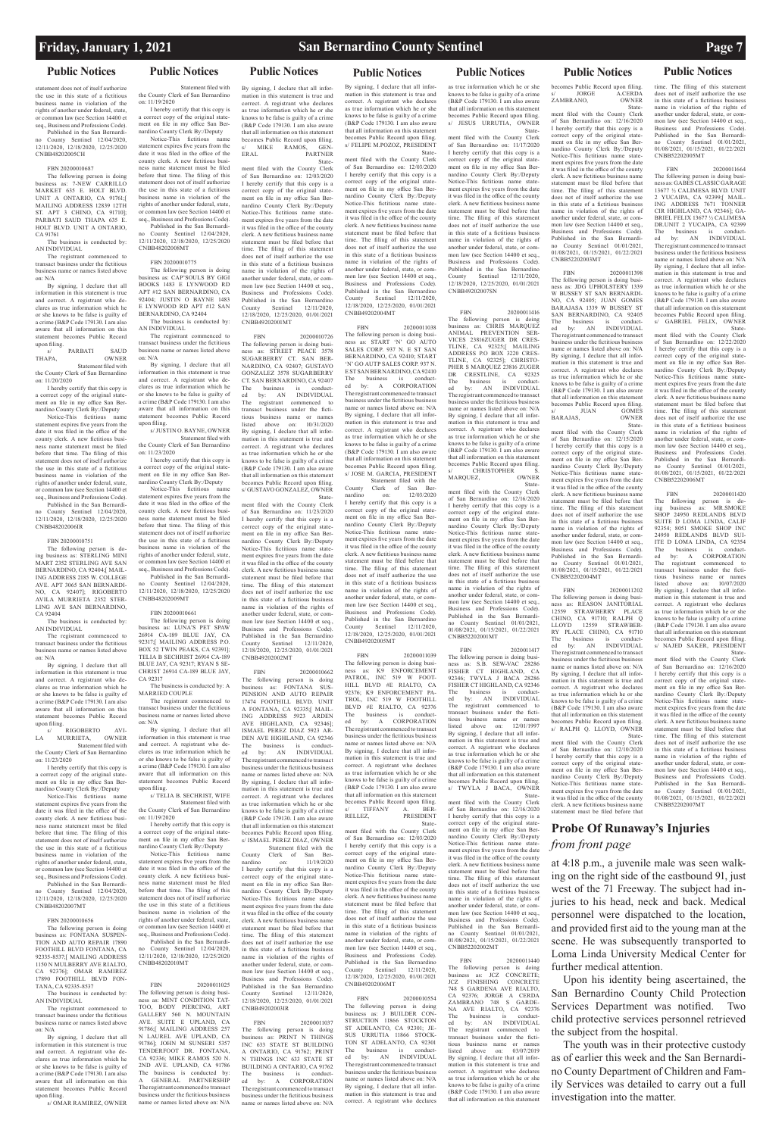### **Probe Of Runaway's Injuries**  *from front page*

### **Friday, January 1, 2021 San Bernardino County Sentinel Page 7**

statement does not of itself authorize the use in this state of a fictitious business name in violation of the rights of another under federal, state, or common law (see Section 14400 et seq., Business and Professions Code).

Published in the San Bernardino County Sentinel 12/04/2020, 12/11/2020, 12/18/2020, 12/25/2020 CNBB48202005CH

### FBN 20200010687

The following person is doing business as: 7-NEW CARRILLO MARKET 635 E. HOLT BLVD. UNIT A ONTARIO, CA 91761;[ MAILING ADDRESS 12839 12TH ST. APT 3 CHINO, CA 91710]; PARBATI SAUD THAPA 635 E. HOLT BLVD. UNIT A ONTARIO, CA 91761

s/ PARBATI SAUD<br>THAPA. OWNER OWNER Statement filed with the County Clerk of San Bernardino

a correct copy of the original statement on file in my office San Bernardino County Clerk By:/Deputy Notice-This fictitious name

The business is conducted by: AN INDIVIDUAL The registrant commenced to

transact business under the fictitious business name or names listed above on: N/A

By signing, I declare that all information in this statement is true and correct. A registrant who declares as true information which he or she knows to be false is guilty of a crime (B&P Code 179130. I am also aware that all information on this statement becomes Public Record upon filing.

The registrant comme transact business under the fictitious business name or names listed above

on: 11/20/2020 I hereby certify that this copy is

on: 11/23/2020  $\frac{11}{2572020}$  I hereby certify that this copy is a correct copy of the original statement on file in my office San Bernardino County Clerk By:/Deputy

statement expires five years from the date it was filed in the office of the county clerk. A new fictitious business name statement must be filed before that time. The filing of this statement does not of itself authorize the use in this state of a fictitious business name in violation of the rights of another under federal, state, common law (see Section 14400 et seq., Business and Professions Code).

Published in the San Bernardi-County Sentinel  $12/04/2020$ 12/11/2020, 12/18/2020, 12/25/2020 CNBB48202006IR

### FBN 20200010751

The following person is doing business as: STERLING MINI MART 2352 STERLING AVE SAN BERNARDINO, CA 92404;[ MAIL-ING ADDRESS 2185 W. COLLEGE AVE. APT 3065 SAN BERNARDI-NO, CA 92407]; RIGOBERTO AVILA MURRIETA 2352 STER-LING AVE SAN BERNARDINO, CA 92404

The business is conducted by: AN INDIVIDUAL

on: N/A By signing, I declare that all information in this statement is true and correct. A registrant who declares as true information which he or she knows to be false is guilty of a crime (B&P Code 179130. I am also aware that all information on this statement becomes Public Record CNBB48202008MT FBN 20200010775 The following person is doing business as: CAP'SOULS BY GIGI BOOKS 1483 E LYNWOOD RD APT #12 SAN BERNARDINO, CA 92404; JUSTIN O BAYNE 1483 E LYNWOOD RD APT #12 SAN BERNARDINO, CA 92404 The business is conducted by:

upon filing. s/ RIGOBERTO AVI-LA MURRIETA, OWNER Statement filed with the County Clerk of San Bernardino

Notice-This fictitious name statement expires five years from the date it was filed in the office of the county clerk. A new fictitious business name statement must be filed before that time. The filing of this statement does not of itself authorize the use in this state of a fictitious business name in violation of the rights of another under federal, state, or common law (see Section 14400 et

seq., Business and Professions Code).

Published in the San Bernardi-no County Sentinel 12/04/2020, 12/11/2020, 12/18/2020, 12/25/2020 CNBB48202007MT

### FBN 20200010656

The following person is doing business as: FONTANA SUSPEN-TION AND AUTO REPAIR 17890 FOOTHILL BLVD FONTANA, CA 92335-8537;[ MAILING ADDRESS 1150 N MULBERRY AVE RIALTO, CA 92376]; OMAR RAMIREZ 17890 FOOTHILL BLVD FON-TANA, CA 92335-8537

s/ TELIA B. SECHRIST, WIFE<br>Statement filed with Statement filed with the County Clerk of San Bernardino

The business is conducted by: AN INDIVIDUAL

The registrant commenced to transact business under the fictitious business name or names listed above on: N/A

By signing, I declare that all information in this statement is true and correct. A registrant who declares as true information which he or she knows to be false is guilty of a crime (B&P Code 179130. I am also aware that all information on this statement becomes Public Record upon filing.

s/ OMAR RAMIREZ, OWNER

### **Public Notices Public Notices Public Notices Public Notices Public Notices Public Notices Public Notices**

By signing, I declare that all information in this statement is true and correct. A registrant who declares as true information which he or she knows to be false is guilty of a crime (B&P Code 179130. I am also aware that all information on this statement becomes Public Record upon filing. MIKE RAMOS, GEN-

Statement filed with

the County Clerk of San Bernardino

on: 11/19/2020

I hereby certify that this copy is a correct copy of the original statement on file in my office San Bernardino County Clerk By:/Deputy Notice-This fictitious name statement expires five years from the date it was filed in the office of the county clerk. A new fictitious business name statement must be filed before that time. The filing of this statement does not of itself authorize the use in this state of a fictitious business name in violation of the rights of another under federal, state, or common law (see Section 14400 et seq., Business and Professions Code). Published in the San Bernardi-County Sentinel 12/04/2020, 12/11/2020, 12/18/2020, 12/25/2020

AN INDIVIDUAL

The registrant commenced to transact business under the fictitious business name or names listed above

on: N/A

By signing, I declare that all information in this statement is true and correct. A registrant who declares as true information which he or she knows to be false is guilty of a crime (B&P Code 179130. I am also aware that all information on this statement becomes Public Record

upon filing.

s/ JUSTIN O. BAYNE, OWNER Statement filed with

on: 11/23/2020

I hereby certify that this copy is a correct copy of the original statement on file in my office San Bernardino County Clerk By:/Deputy Notice-This fictitious name statement expires five years from the date it was filed in the office of the county clerk. A new fictitious business name statement must be filed before that time. The filing of this statement does not of itself authorize the use in this state of a fictitious business name in violation of the rights of another under federal, state, or common law (see Section 14400 et seq., Business and Professions Code). Published in the San Bernardino County Sentinel 12/04/2020, 12/11/2020, 12/18/2020, 12/25/2020

statement fired with<br>the County Clerk of San Bernardino

CNBB48202009MT FBN 20200010661 The following person is doing business as: LUNA'S PET SPAW 26914 CA-189 BLUE JAY, CA 92317;[ MAILING ADDRESS P.O. BOX 52 TWIN PEAKS, CA 92391]; TELIA B SECHRIST 26914 CA-189 BLUE JAY, CA 92317; RYAN S SE-CHRIST 26914 CA-189 BLUE JAY,

CA 92317

The business is conducted by: A

MARRIED COUPLE

The registrant commenced to transact business under the fictitious business name or names listed above

on: N/A

By signing, I declare that all information in this statement is true and correct. A registrant who declares as true information which he or she knows to be false is guilty of a crime (B&P Code 179130. I am also aware that all information on this statement becomes Public Record

upon filing.

on: 11/19/2020

I hereby certify that this copy is a correct copy of the original statement on file in my office San Bernardino County Clerk By:/Deputy Notice-This fictitious name statement expires five years from the date it was filed in the office of the county clerk. A new fictitious business name statement must be filed  $\begin{tabular}{lllll} \multicolumn{1}{l}{{\bf County} & $\operatorname{Clerk}$ & $\operatorname{of}$ & $\operatorname{San}$ \\ \multicolumn{2}{l}{\bf County} & $\operatorname{Clerk}$ & $\operatorname{of}$ & $\operatorname{San}$ \\ \multicolumn{2}{l}{\bf{D}} & $\operatorname{Clerk}$ & $\operatorname{of}$ & $\operatorname{San}$ \\ \multicolumn{2}{l}{\bf{D}} & $\operatorname{Clerk}$ & $\operatorname{of}$ & $\operatorname{San}$ \\ \multicolumn{2}{l}{\bf{D}} & $\operatorname{Clerk}$ & $\operatorname{of}$ & $\operatorname{San}$ \\ \multicolumn{2}{l}{\bf{D}} & $\operatorname{Cler$ nardino on: 12/03/2020 I hereby certify that this copy is a correct copy of the original statement on file in my office San Bernardino County Clerk By:/Deputy Notice-This fictitious name statement expires five years from the date it was filed in the office of the county clerk. A new fictitious business name statement must be filed before that time. The filing of this statement does not of itself authorize the use in this state of a fictitious business name in violation of the rights of another under federal, state, or common law (see Section 14400 et seq., Business and Professions Code). Published in the San Bernardino County Sentinel 12/11/2020, 12/18/2020, 12/25/2020, 01/01/2021 CNBB49202005MT

FBN 20200011039 The following person is doing business as: K9 ENFORCEMENT PATROL, INC 519 W FOOT-HILL BLVD #E RIALTO, CA 92376; K9 ENFORCEMENT PA-TROL, INC 519 W FOOTHILL BLVD #E RIALTO, CA 92376 The business is conduct-ed by: A CORPORATION The registrant commenced to transact business under the fictitious business name or names listed above on: N/A By signing, I declare that all information in this statement is true and correct. A registrant who declares as true information which he or she knows to be false is guilty of a crime (B&P Code 179130. I am also aware that all information on this statement becomes Public Record upon filing. s/ TIFFANY A. BER-<br>RELLEZ, PRESIDENT PRESIDENT

before that time. The filing of this statement does not of itself authorize the use in this state of a fictitious business name in violation of the rights of another under federal, state or common law (see Section 14400 et seq., Business and Professions Code). Published in the San Bernardino County Sentinel 12/04/2020, 12/11/2020, 12/18/2020, 12/25/2020 CNBB48202010MT

### FBN 20200011025

The following person is doing business as: MINT CONDITION TAT-TOO, BODY PIERCING, ART GALLERY 560 N. MOUNTAIN AVE. SUITE E UPLAND, CA 91786;[ MAILING ADDRESS 257 N LAUREL AVE UPLAND, CA 91786]; JOHN M SUNSERI 5357 TENDERFOOT DR. FONTANA, CA 92336; MIKE RAMOS 520 N. 2ND AVE. UPLAND, CA 91786 The business is conducted by: A GENERAL PARTNERSHIP The registrant commenced to transact business under the fictitious business name or names listed above on: N/A

FBN 20200011416 The following person is doing business as: CHRIS MARQUEZ ANIMAL PREVENTION SER-VICES 23816ZUGER DR CRES-TLINE, CA 92325;[ MAILING ADDRESS P.O BOX 3220 CRES-TLINE, CA 92325]; CHRISTO-PHER S MARQUEZ 23816 ZUGER DR CRESTLINE, CA 92325<br>The business is conduct-The business is conduct-ed by: AN INDIVIDUAL The registrant commenced to transact business under the fictitious business name or names listed above on: N/A By signing, I declare that all infor-mation in this statement is true and correct. A registrant who declares as true information which he or she knows to be false is guilty of a crime (B&P Code 179130. I am also aware that all information on this statement becomes Public Record upon filing. CHRISTOPHER 5.<br>EZ. OWNER MARQUEZ, OWNER

ERAL PARTNER State-ment filed with the County Clerk of San Bernardino on: 12/03/2020 I hereby certify that this copy is a correct copy of the original statement on file in my office San Bernardino County Clerk By:/Deputy Notice-This fictitious name state-ment expires five years from the date it was filed in the office of the county clerk. A new fictitious business name statement must be filed before that time. The filing of this statement does not of itself authorize the use in this state of a fictitious business name in violation of the rights of another under federal, state, or common law (see Section 14400 et seq., Business and Professions Code). Published in the San Bernardino County Sentinel 12/11/2020, 12/18/2020, 12/25/2020, 01/01/2021 CNBB49202001MT

> FBN 2020011417 The following person is doing business as: S.B. SEW-VAC 28286 FISHER CT HIGHLAND, CA 92346; TWYLA J BACA 28286 FISHER CT HIGHLAND, CA 92346<br>The business is conduct-The business is conduct-ed by: AN INDIVIDUAL The registrant commenced to<br>transact business under the ficti- $\overline{\text{b}$  business under the fictitious business name or names listed above on: 12/01/1997 By signing, I declare that all information in this statement is true and correct. A registrant who declares as true information which he or she knows to be false is guilty of a crime (B&P Code 179130. I am also aware that all information on this statement becomes Public Record upon filing.  $s/$  TWYLA J BACA, OWNER

FBN 20200010726 The following person is doing business as: STREET PEACE 3578 SUGARBERRY CT. SAN BER-NARDINO, CA 92407; GUSTAVO GONZALEZ 3578 SUGARBERRY CT. SAN BERNARDINO, CA 92407 The business is conduct-ed by: AN INDIVIDUAL The registrant commenced transact business under the fictitious business name or names listed above on: 10/31/2020 By signing, I declare that all information in this statement is true and correct. A registrant who declares as true information which he or she knows to be false is guilty of a crime (B&P Code 179130. I am also aware that all information on this statement becomes Public Record upon filing. s/ GUSTAVO GONZALEZ, OWNER

> State-ment filed with the County Clerk of San Bernardino on: 12/16/2020 I hereby certify that this copy is a correct copy of the original state-ment on file in my office San Ber-nardino County Clerk By:/Deputy Notice-This fictitious name statement expires five years from the date it was filed in the office of the county clerk. A new fictitious business name statement must be filed before that time. The filing of this statement does not of itself authorize the use in this state of a fictitious business name in violation of the rights of another under federal, state, or common law (see Section 14400 et seq., Business and Professions Code). Published in the San Bernardino County Sentinel 01/01/2021, 01/08/2021, 01/15/2021, 01/22/2021 CNBB52202002MT FBN 20200011440 The following person is doing business as: JCZ CONCRETE; JCZ FINISHING CONCRETE 748 S GARDENA AVE RIALTO, CA 92376; JORGE A CERDA ZAMBRANO 748 S GARDE-NA AVE RIALTO, CA 92376 The business is conduct-ed by: AN INDIVIDUAL The registrant commenced to transact business under the fictitious business name or names listed above on: 03/07/2019 By signing, I declare that all infor-mation in this statement is true and correct. A registrant who declares as true information which he or she knows to be false is guilty of a crime (B&P Code 179130. I am also aware that all information on this statement

 State-ment filed with the County Clerk of San Bernardino on: 11/23/2020 I hereby certify that this copy is a correct copy of the original statement on file in my office San Bernardino County Clerk By:/Deputy Notice-This fictitious name statement expires five years from the date it was filed in the office of the county clerk. A new fictitious business name statement must be filed before that time. The filing of this statement does not of itself authorize the use in this state of a fictitious business name in violation of the rights of another under federal, state, or common law (see Section 14400 et seq., Business and Professions Code). Published in the San Bernardino County Sentinel 12/11/2020, 12/18/2020, 12/25/2020, 01/01/2021 CNBB49202002MT

becomes Public Record upon filing.<br>
S/ JORGE A.CERDA **SACERDA**<br>
SANO, **OWNER** ZAMBRANO, State-ment filed with the County Clerk of San Bernardino on: 12/16/2020 I hereby certify that this copy is a

FBN 20200011398 The following person is doing busi-ness as: JDG UPHOLSTERY 1339 W BUSSEY ST SAN BERNARDI-NO, CA 92405; JUAN GOMES BARAJASA 1339 W BUSSEY ST SAN BERNARDINO, CA 92405 The business is conduct-ed by: AN INDIVIDUAL The registrant commenced to transact business under the fictitious business name or names listed above on: N/A By signing, I declare that all information in this statement is true and correct. A registrant who declares as true information which he or she knows to be false is guilty of a crime (B&P Code 179130. I am also aware that all information on this statement becomes Public Record upon filing.<br>
s/
JUAN
GOMES s/
JUAN
GOMES<br>
BARAJAS, OWNER<br>
State-

FBN 20200010662 The following person is doing business as: FONTANA SUS-PENSION AND AUTO REPAIR 17474 FOOTHILL BLVD. UNIT A FONTANA, CA 92335;[ MAIL-ING ADDRESS 5923 ARDEN AVE HIGHLAND, CA 92346]; ISMAEL PEREZ DIAZ 5923 AR-DEN AVE HIGHLAND, CA 92346 The business is conduct-ed by: AN INDIVIDUAL The registrant commenced to transact business under the fictitious business name or names listed above on: N/A By signing, I declare that all information in this statement is true and correct. A registrant who declares as true information which he or she knows to be false is guilty of a crime (B&P Code 179130. I am also aware

that all information on this statement becomes Public Record upon filing. s/ ISMAEL PEREZ DIAZ, OWNER

 Statement filed with the County Clerk of San Bernardino on: 11/19/2020 I hereby certify that this copy is a correct copy of the original statement on file in my office San Bernardino County Clerk By:/Deputy Notice-This fictitious name statement expires five years from the date it was filed in the office of the county clerk. A new fictitious business name statement must be filed before that time. The filing of this statement does not of itself authorize the use in this state of a fictitious business name in violation of the rights of another under federal, state, or common law (see Section 14400 et seq., Business and Professions Code). Published in the San Bernardino County Sentinel 12/11/2020, 12/18/2020, 12/25/2020, 01/01/2021 CNBB49202003IR

time. The filing of this statement does not of itself authorize the use in this state of a fictitious business name in violation of the rights of another under federal, state, or common law (see Section 14400 et seq., Business and Professions Code). Published in the San Bernardi-

no County Sentinel 01/01/2021, 01/08/2021, 01/15/2021, 01/22/2021 CNBB52202005MT FBN 20200011664 The following person is doing busi-ness as: GABES CLASSIC GARAGE 13677 ½ CALIMESA BLVD. UNIT 2 YUCAIPA, CA 92399;[ MAIL-ING ADDRESS 7671 TONNER CIR HIGHLAND, CA 92346]; GA-BRIEL FELIX 13677 ½ CALIMESA DR.UNIT 2 YUCAIPA, CA 92399

FBN 20200011037 The following person is doing business as: PRINT N THINGS INC 633 STATE ST BUILDING A ONTARIO, CA 91762; PRINT THINGS INC 633 STATE ST BUILDING A ONTARIO, CA 91762 The business is conduct-ed by: A CORPORATION The registrant commenced to transact business under the fictitious business name or names listed above on: N/A

By signing, I declare that all inforon in this statement is true and correct. A registrant who declares as true information which he or she knows to be false is guilty of a crime (B&P Code 179130. I am also aware that all information on this statement becomes Public Record upon filing. s/ FELIPE M.POZOZ, PRESIDENT

> The business is conducted<br>
> ed by: AN INDIVIDUAL<br>
> The registrant commenced to transact<br>
> business under the fictitious business name or names listed above on: N/A By signing, I declare that all information in this statement is true and correct. A registrant who declares as true information which he or she knows to be false is guilty of a crime (B&P Code 179130. I am also aware that all information on this statement becomes Public Record upon filing. s/ GABRIEL FELIX, OWNER State-ment filed with the County Clerk

 State-ment filed with the County Clerk of San Bernardino on: 12/03/2020 I hereby certify that this copy is a correct copy of the original statement on file in my office San Bernardino County Clerk By:/Deputy Notice-This fictitious name statement expires five years from the date it was filed in the office of the county clerk. A new fictitious business name statement must be filed before that time. The filing of this statement does not of itself authorize the use in this state of a fictitious business name in violation of the rights of another under federal, state, or common law (see Section 14400 et seq., Business and Professions Code). Published in the San Bernardino County Sentinel 12/11/2020, 12/18/2020, 12/25/2020, 01/01/2021 CNBB49202004MT

FBN 20200011038 The following person is doing business as: START 'N' GO AUTO SALES CORP. 937 N. E ST SAN BERNARDINO, CA 92410; START 'N' GO AUTP SALES CORP. 937 N. E ST SAN BERNARDINO, CA 92410 The business is conduct-ed by: A CORPORATION The registrant commenced to transact business under the fictitious business name or names listed above on: N/A By signing, I declare that all information in this statement is true and correct. A registrant who declares as true information which he or she knows to be false is guilty of a crime (B&P Code 179130. I am also aware that all information on this statement becomes Public Record upon filing. s/ JOSE M. GARCIA, PRESIDENT Statement filed with the

 State-ment filed with the County Clerk of San Bernardino on: 12/03/2020 I hereby certify that this copy is a correct copy of the original statement on file in my office San Bernardino County Clerk By:/Deputy Notice-This fictitious name statement expires five years from the date as filed in the office of the county clerk. A new fictitious business name statement must be filed before that time. The filing of this statement does not of itself authorize the use in this state of a fictitious business name in violation of the rights of another under federal, state, or com-mon law (see Section 14400 et seq., Business and Professions Code). Published in the San Bernardino<br>County Sentinel 12/11/2020, Sentinel  $12/11/2020$ 12/18/2020, 12/25/2020, 01/01/2021 CNBB49202006MT FBN 20200010554 The following person is doing business as: J BUILDER CON-STRUCTION 11866 STOCKTON ST ADELANTO, CA 92301; JE-SUS URRUTIA 11866 STOCK-TON ST ADELANTO, CA 92301 The business is conduct-ed by: AN INDIVIDUAL The registrant commenced to transact business under the fictitious business name or names listed above on: N/A By signing, I declare that all information in this statement is true and correct. A registrant who declares

as true information which he or she knows to be false is guilty of a crime (B&P Code 179130. I am also aware that all information on this statement becomes Public Record upon filing. s/ JESUS URRUTIA, OWNER

 State-ment filed with the County Clerk of San Bernardino on: 11/17/2020 I hereby certify that this copy is a correct copy of the original statement on file in my office San Bernardino County Clerk By:/Deputy Notice-This fictitious name statement expires five years from the date it was filed in the office of the county clerk. A new fictitious business name statement must be filed before that time. The filing of this statement does not of itself authorize the use in this state of a fictitious business name in violation of the rights of another under federal, state, or common law (see Section 14400 et seq., Business and Professions Code). Published in the San Bernardino County Sentinel 12/11/2020, 12/18/2020, 12/25/2020, 01/01/2021 CNBB49202007SN

 State-ment filed with the County Clerk of San Bernardino on: 12/16/2020 I hereby certify that this copy is a correct copy of the original statement on file in my office San Bernardino County Clerk By:/Deputy Notice-This fictitious name statement expires five years from the date it was filed in the office of the county clerk. A new fictitious business name statement must be filed before that time. The filing of this statement does not of itself authorize the use in this state of a fictitious business name in violation of the rights of another under federal, state, or common law (see Section 14400 et seq. Business and Professions Code). Published in the San Bernardino County Sentinel 01/01/2021, 01/08/2021, 01/15/2021, 01/22/2021 CNBB52202001MT

correct copy of the original state-ment on file in my office San Ber-nardino County Clerk By:/Deputy Notice-This fictitious name state-ment expires five years from the date it was filed in the office of the county clerk. A new fictitious business nam statement must be filed before that time. The filing of this statement does not of itself authorize the use in this state of a fictitious business name in violation of the rights of another under federal, state, or common law (see Section 14400 et seq., Business and Professions Code). Published in the San Bernardi-no County Sentinel 01/01/2021, 01/08/2021, 01/15/2021, 01/22/2021 CNBB52202003MT

 State-ment filed with the County Clerk of San Bernardino on: 12/15/2020 I hereby certify that this copy is a correct copy of the original state-ment on file in my office San Bernardino County Clerk By:/Deputy Notice-This fictitious name state-ment expires five years from the date it was filed in the office of the county clerk. A new fictitious business name statement must be filed before that time. The filing of this statement does not of itself authorize the use in this state of a fictitious business name in violation of the rights of another under federal, state, or common law (see Section 14400 et seq., Business and Professions Code). Published in the San Bernardi-Published in the San Bernardi-<br>no County Sentinel 01/01/2021, 01/08/2021, 01/15/2021, 01/22/2021 CNBB52202004MT

### FBN 20200011202 The following person is doing busi-ness as: REASON JANITORIAL 12559 STRAWBERRY PLACE CHINO, CA 91710; RALPH Q CHINO, CA 91710; RALPH C<br>LLOYD 12559 STRAWBER RY PLACE CHINO, CA 91710 The business is conduct-ed by: AN INDIVIDUAL

The registrant commenced to transact business under the fictitious business name or names listed above on: N/A By signing, I declare that all information in this statement is true and correct. A registrant who declares as true information which he or she knows to be false is guilty of a crime (B&P Code 179130. I am also aware that all information on this statement becomes Public Record upon filing.

s/ RALPH Q. LLOYD, OWNER State-ment filed with the County Clerk of San Bernardino on: 12/10/2020 I hereby certify that this copy is a correct copy of the original state-ment on file in my office San Bernardino County Clerk By:/Deputy Notice-This fictitious name statement expires five years from the date it was filed in the office of the county clerk. A new fictitious business name statement must be filed before that

of San Bernardino on: 12/22/2020 I hereby certify that this copy is a correct copy of the original statement on file in my office San Ber-nardino County Clerk By:/Deputy Notice-This fictitious name statement expires five years from the date it was filed in the office of the county clerk. A new fictitious business name statement must be filed before that time. The filing of this statement does not of itself authorize the use in this state of a fictitious business name in violation of the rights of another under federal, state, or common law (see Section 14400 et seq., Business and Professions Code). Published in the San Bernardino County Sentinel 01/01/2021, 01/08/2021, 01/15/2021, 01/22/2021 CNBB52202006MT

FBN 20200011420 The following person is doing business as: MR.SMOKE SHOP 24950 REDLANDS BLVD SUITE D LOMA LINDA, CALIF 92354; 8051 SMOKE SHOP INC 24950 REDLANDS BLVD SUI-ITE D LOMA LINDA, CA 92354<br>The business is conduct-<br>ed by: A CORPORATION The business is conduct-ed by: A CORPORATION The registrant commenced to transact business under the fictitious business name or names listed above on: 10/07/2020 By signing, I declare that all information in this statement is true and correct. A registrant who declares as true information which he or she knows to be false is guilty of a crime (B&P Code 179130. I am also aware that all information on this statement becomes Public Record upon filing. s/ NAJED SAKER, PRESIDENT

 State-ment filed with the County Clerk of San Bernardino on: 12/16/2020 I hereby certify that this copy is a correct copy of the original state-ment on file in my office San Bernardino County Clerk By:/Deputy Notice-This fictitious name statement expires five years from the date it was filed in the office of the county clerk. A new fictitious business name statement must be filed before that time. The filing of this statement does not of itself authorize the use in this state of a fictitious business name in violation of the rights of another under federal, state, or com-mon law (see Section 14400 et seq., Business and Professions Code). Published in the San Bernardi-Published in the San Bernardi-<br>no County Sentinel 01/01/2021, 01/08/2021, 01/15/2021, 01/22/2021

CNBB52202007MT

at 4:18 p.m., a juvenile male was seen walking on the right side of the eastbound 91, just west of the 71 Freeway. The subject had injuries to his head, neck and back. Medical personnel were dispatched to the location, and provided first aid to the young man at the scene. He was subsequently transported to Loma Linda University Medical Center for further medical attention.

Upon his identity being ascertained, the San Bernardino County Child Protection Services Department was notified. Two child protective services personnel retrieved the subject from the hospital.

The youth was in their protective custody as of earlier this week and the San Bernardino County Department of Children and Family Services was detailed to carry out a full investigation into the matter.